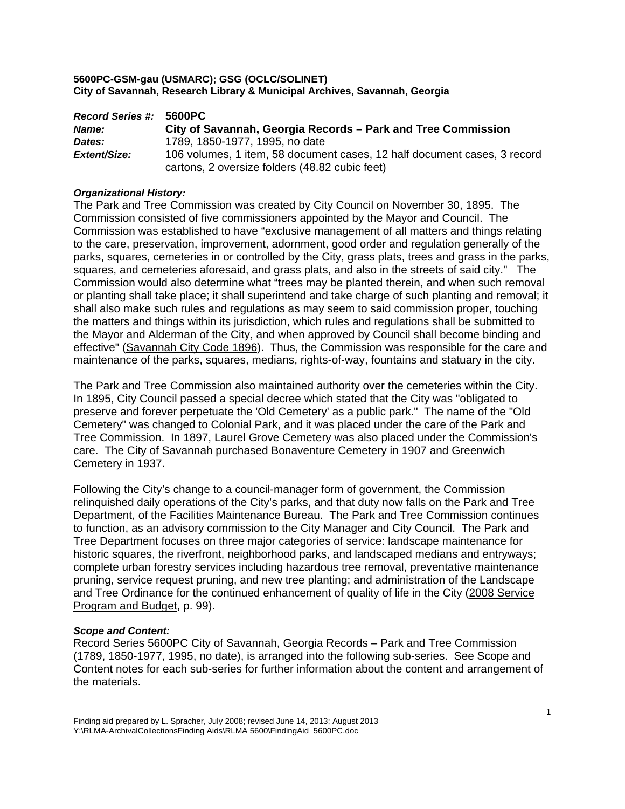| <b>Record Series #:</b> | 5600PC                                                                   |
|-------------------------|--------------------------------------------------------------------------|
| Name:                   | City of Savannah, Georgia Records - Park and Tree Commission             |
| Dates:                  | 1789, 1850-1977, 1995, no date                                           |
| Extent/Size:            | 106 volumes, 1 item, 58 document cases, 12 half document cases, 3 record |
|                         | cartons, 2 oversize folders (48.82 cubic feet)                           |

## *Organizational History:*

The Park and Tree Commission was created by City Council on November 30, 1895. The Commission consisted of five commissioners appointed by the Mayor and Council. The Commission was established to have "exclusive management of all matters and things relating to the care, preservation, improvement, adornment, good order and regulation generally of the parks, squares, cemeteries in or controlled by the City, grass plats, trees and grass in the parks, squares, and cemeteries aforesaid, and grass plats, and also in the streets of said city." The Commission would also determine what "trees may be planted therein, and when such removal or planting shall take place; it shall superintend and take charge of such planting and removal; it shall also make such rules and regulations as may seem to said commission proper, touching the matters and things within its jurisdiction, which rules and regulations shall be submitted to the Mayor and Alderman of the City, and when approved by Council shall become binding and effective" (Savannah City Code 1896). Thus, the Commission was responsible for the care and maintenance of the parks, squares, medians, rights-of-way, fountains and statuary in the city.

The Park and Tree Commission also maintained authority over the cemeteries within the City. In 1895, City Council passed a special decree which stated that the City was "obligated to preserve and forever perpetuate the 'Old Cemetery' as a public park." The name of the "Old Cemetery" was changed to Colonial Park, and it was placed under the care of the Park and Tree Commission. In 1897, Laurel Grove Cemetery was also placed under the Commission's care. The City of Savannah purchased Bonaventure Cemetery in 1907 and Greenwich Cemetery in 1937.

Following the City's change to a council-manager form of government, the Commission relinquished daily operations of the City's parks, and that duty now falls on the Park and Tree Department, of the Facilities Maintenance Bureau. The Park and Tree Commission continues to function, as an advisory commission to the City Manager and City Council. The Park and Tree Department focuses on three major categories of service: landscape maintenance for historic squares, the riverfront, neighborhood parks, and landscaped medians and entryways; complete urban forestry services including hazardous tree removal, preventative maintenance pruning, service request pruning, and new tree planting; and administration of the Landscape and Tree Ordinance for the continued enhancement of quality of life in the City (2008 Service Program and Budget, p. 99).

#### *Scope and Content:*

Record Series 5600PC City of Savannah, Georgia Records – Park and Tree Commission (1789, 1850-1977, 1995, no date), is arranged into the following sub-series. See Scope and Content notes for each sub-series for further information about the content and arrangement of the materials.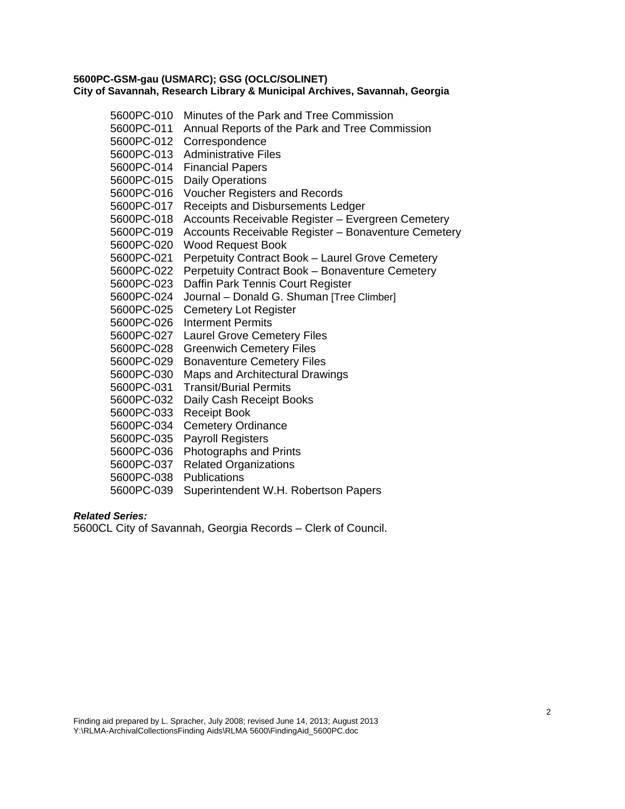| 5600PC-010 | Minutes of the Park and Tree Commission             |
|------------|-----------------------------------------------------|
| 5600PC-011 | Annual Reports of the Park and Tree Commission      |
| 5600PC-012 | Correspondence                                      |
| 5600PC-013 | <b>Administrative Files</b>                         |
| 5600PC-014 | <b>Financial Papers</b>                             |
| 5600PC-015 | <b>Daily Operations</b>                             |
| 5600PC-016 | <b>Voucher Registers and Records</b>                |
| 5600PC-017 | Receipts and Disbursements Ledger                   |
| 5600PC-018 | Accounts Receivable Register - Evergreen Cemetery   |
| 5600PC-019 | Accounts Receivable Register - Bonaventure Cemetery |
| 5600PC-020 | <b>Wood Request Book</b>                            |
| 5600PC-021 | Perpetuity Contract Book - Laurel Grove Cemetery    |
| 5600PC-022 | Perpetuity Contract Book - Bonaventure Cemetery     |
| 5600PC-023 | Daffin Park Tennis Court Register                   |
| 5600PC-024 | Journal - Donald G. Shuman [Tree Climber]           |
| 5600PC-025 | <b>Cemetery Lot Register</b>                        |
| 5600PC-026 | <b>Interment Permits</b>                            |
| 5600PC-027 | <b>Laurel Grove Cemetery Files</b>                  |
| 5600PC-028 | <b>Greenwich Cemetery Files</b>                     |
| 5600PC-029 | <b>Bonaventure Cemetery Files</b>                   |
| 5600PC-030 | Maps and Architectural Drawings                     |
| 5600PC-031 | <b>Transit/Burial Permits</b>                       |
| 5600PC-032 | Daily Cash Receipt Books                            |
| 5600PC-033 | <b>Receipt Book</b>                                 |
| 5600PC-034 | <b>Cemetery Ordinance</b>                           |
| 5600PC-035 | <b>Payroll Registers</b>                            |
| 5600PC-036 | Photographs and Prints                              |
| 5600PC-037 | <b>Related Organizations</b>                        |
| 5600PC-038 | <b>Publications</b>                                 |
| 5600PC-039 | Superintendent W.H. Robertson Papers                |

## *Related Series:*

5600CL City of Savannah, Georgia Records – Clerk of Council.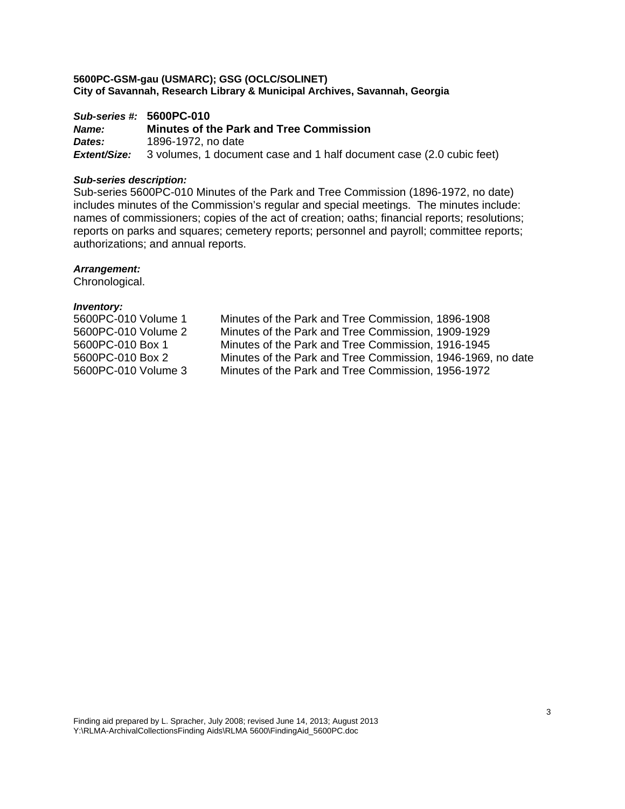*Sub-series #:* **5600PC-010** *Name:* **Minutes of the Park and Tree Commission**  *Dates:* 1896-1972, no date *Extent/Size:* 3 volumes, 1 document case and 1 half document case (2.0 cubic feet)

#### *Sub-series description:*

Sub-series 5600PC-010 Minutes of the Park and Tree Commission (1896-1972, no date) includes minutes of the Commission's regular and special meetings. The minutes include: names of commissioners; copies of the act of creation; oaths; financial reports; resolutions; reports on parks and squares; cemetery reports; personnel and payroll; committee reports; authorizations; and annual reports.

## *Arrangement:*

Chronological.

| 5600PC-010 Volume 1 | Minutes of the Park and Tree Commission, 1896-1908          |
|---------------------|-------------------------------------------------------------|
| 5600PC-010 Volume 2 | Minutes of the Park and Tree Commission, 1909-1929          |
| 5600PC-010 Box 1    | Minutes of the Park and Tree Commission, 1916-1945          |
| 5600PC-010 Box 2    | Minutes of the Park and Tree Commission, 1946-1969, no date |
| 5600PC-010 Volume 3 | Minutes of the Park and Tree Commission, 1956-1972          |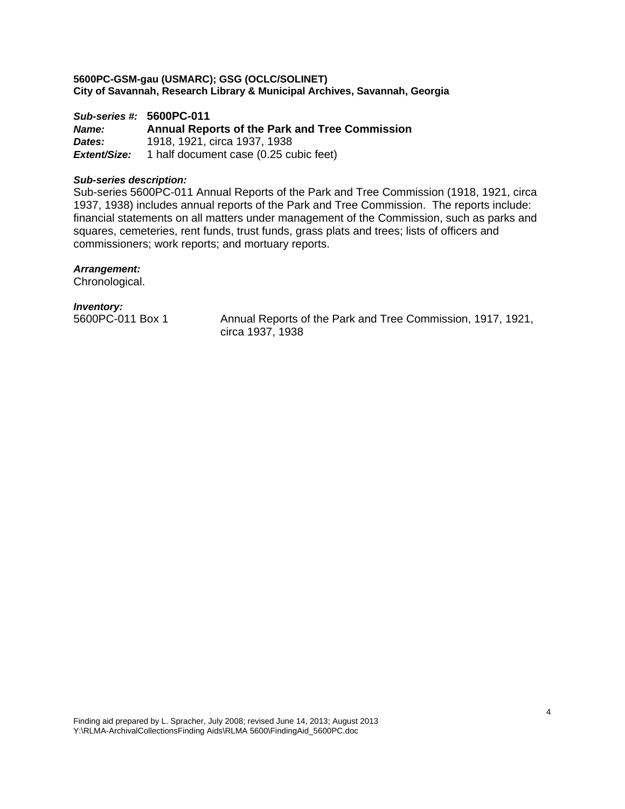*Sub-series #:* **5600PC-011** *Name:* **Annual Reports of the Park and Tree Commission**  *Dates:* 1918, 1921, circa 1937, 1938 *Extent/Size:* 1 half document case (0.25 cubic feet)

## *Sub-series description:*

Sub-series 5600PC-011 Annual Reports of the Park and Tree Commission (1918, 1921, circa 1937, 1938) includes annual reports of the Park and Tree Commission. The reports include: financial statements on all matters under management of the Commission, such as parks and squares, cemeteries, rent funds, trust funds, grass plats and trees; lists of officers and commissioners; work reports; and mortuary reports.

## *Arrangement:*

Chronological.

## *Inventory:*

5600PC-011 Box 1 Annual Reports of the Park and Tree Commission, 1917, 1921, circa 1937, 1938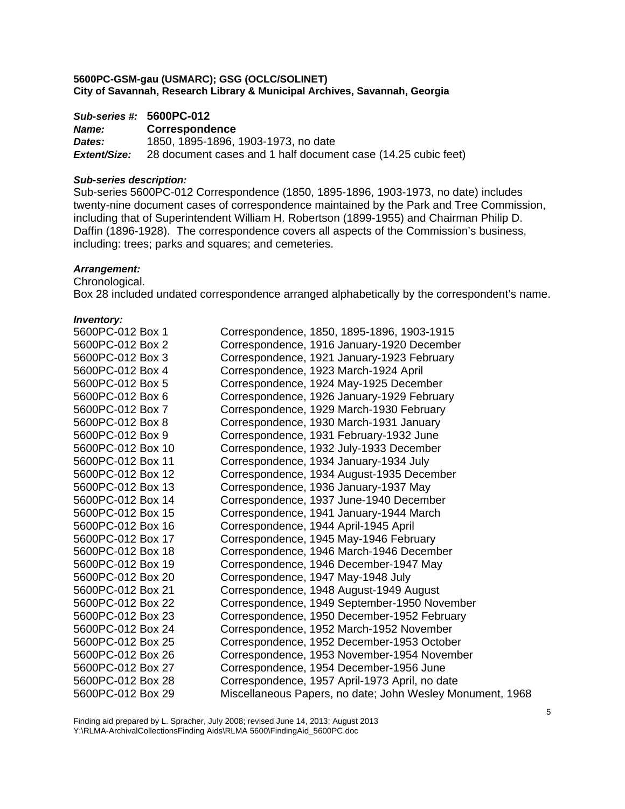## *Sub-series #:* **5600PC-012**

| Name:        | <b>Correspondence</b>                                         |
|--------------|---------------------------------------------------------------|
| Dates:       | 1850, 1895-1896, 1903-1973, no date                           |
| Extent/Size: | 28 document cases and 1 half document case (14.25 cubic feet) |

## *Sub-series description:*

Sub-series 5600PC-012 Correspondence (1850, 1895-1896, 1903-1973, no date) includes twenty-nine document cases of correspondence maintained by the Park and Tree Commission, including that of Superintendent William H. Robertson (1899-1955) and Chairman Philip D. Daffin (1896-1928). The correspondence covers all aspects of the Commission's business, including: trees; parks and squares; and cemeteries.

## *Arrangement:*

Chronological.

Box 28 included undated correspondence arranged alphabetically by the correspondent's name.

#### *Inventory:*

| 5600PC-012 Box 1  | Correspondence, 1850, 1895-1896, 1903-1915                |
|-------------------|-----------------------------------------------------------|
| 5600PC-012 Box 2  | Correspondence, 1916 January-1920 December                |
| 5600PC-012 Box 3  | Correspondence, 1921 January-1923 February                |
| 5600PC-012 Box 4  | Correspondence, 1923 March-1924 April                     |
| 5600PC-012 Box 5  | Correspondence, 1924 May-1925 December                    |
| 5600PC-012 Box 6  | Correspondence, 1926 January-1929 February                |
| 5600PC-012 Box 7  | Correspondence, 1929 March-1930 February                  |
| 5600PC-012 Box 8  | Correspondence, 1930 March-1931 January                   |
| 5600PC-012 Box 9  | Correspondence, 1931 February-1932 June                   |
| 5600PC-012 Box 10 | Correspondence, 1932 July-1933 December                   |
| 5600PC-012 Box 11 | Correspondence, 1934 January-1934 July                    |
| 5600PC-012 Box 12 | Correspondence, 1934 August-1935 December                 |
| 5600PC-012 Box 13 | Correspondence, 1936 January-1937 May                     |
| 5600PC-012 Box 14 | Correspondence, 1937 June-1940 December                   |
| 5600PC-012 Box 15 | Correspondence, 1941 January-1944 March                   |
| 5600PC-012 Box 16 | Correspondence, 1944 April-1945 April                     |
| 5600PC-012 Box 17 | Correspondence, 1945 May-1946 February                    |
| 5600PC-012 Box 18 | Correspondence, 1946 March-1946 December                  |
| 5600PC-012 Box 19 | Correspondence, 1946 December-1947 May                    |
| 5600PC-012 Box 20 | Correspondence, 1947 May-1948 July                        |
| 5600PC-012 Box 21 | Correspondence, 1948 August-1949 August                   |
| 5600PC-012 Box 22 | Correspondence, 1949 September-1950 November              |
| 5600PC-012 Box 23 | Correspondence, 1950 December-1952 February               |
| 5600PC-012 Box 24 | Correspondence, 1952 March-1952 November                  |
| 5600PC-012 Box 25 | Correspondence, 1952 December-1953 October                |
| 5600PC-012 Box 26 | Correspondence, 1953 November-1954 November               |
| 5600PC-012 Box 27 | Correspondence, 1954 December-1956 June                   |
| 5600PC-012 Box 28 | Correspondence, 1957 April-1973 April, no date            |
| 5600PC-012 Box 29 | Miscellaneous Papers, no date; John Wesley Monument, 1968 |

Finding aid prepared by L. Spracher, July 2008; revised June 14, 2013; August 2013 Y:\RLMA-ArchivalCollectionsFinding Aids\RLMA 5600\FindingAid\_5600PC.doc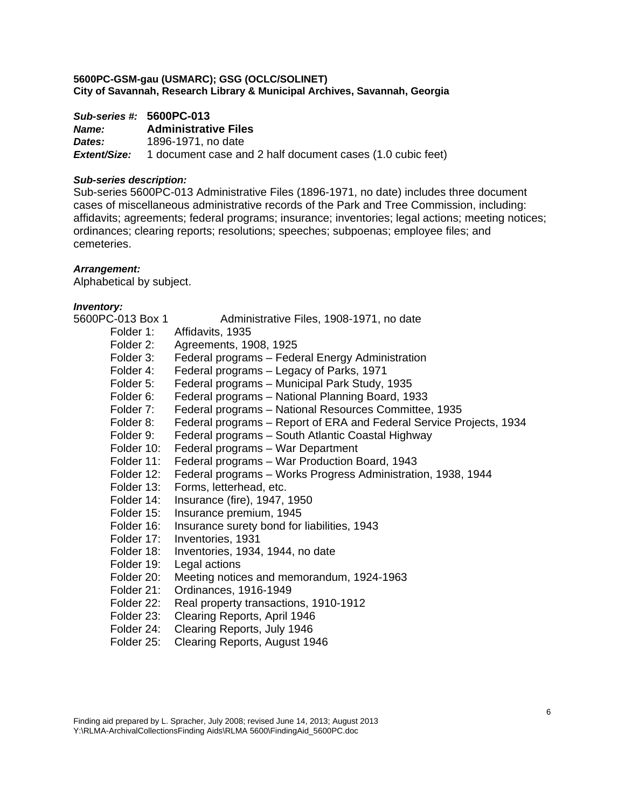|              | Sub-series #: 5600PC-013                                                       |
|--------------|--------------------------------------------------------------------------------|
| <b>Name:</b> | <b>Administrative Files</b>                                                    |
| Dates:       | 1896-1971, no date                                                             |
|              | <b>Extent/Size:</b> 1 document case and 2 half document cases (1.0 cubic feet) |

## *Sub-series description:*

Sub-series 5600PC-013 Administrative Files (1896-1971, no date) includes three document cases of miscellaneous administrative records of the Park and Tree Commission, including: affidavits; agreements; federal programs; insurance; inventories; legal actions; meeting notices; ordinances; clearing reports; resolutions; speeches; subpoenas; employee files; and cemeteries.

## *Arrangement:*

Alphabetical by subject.

| 5600PC-013 Box 1 | Administrative Files, 1908-1971, no date                            |
|------------------|---------------------------------------------------------------------|
| Folder 1:        | Affidavits, 1935                                                    |
| Folder 2:        | Agreements, 1908, 1925                                              |
| Folder 3:        | Federal programs - Federal Energy Administration                    |
| Folder 4:        | Federal programs – Legacy of Parks, 1971                            |
| Folder 5:        | Federal programs - Municipal Park Study, 1935                       |
| Folder 6:        | Federal programs - National Planning Board, 1933                    |
| Folder 7:        | Federal programs – National Resources Committee, 1935               |
| Folder 8:        | Federal programs – Report of ERA and Federal Service Projects, 1934 |
| Folder 9:        | Federal programs - South Atlantic Coastal Highway                   |
| Folder 10:       | Federal programs - War Department                                   |
| Folder 11:       | Federal programs – War Production Board, 1943                       |
| Folder 12:       | Federal programs - Works Progress Administration, 1938, 1944        |
| Folder 13:       | Forms, letterhead, etc.                                             |
| Folder 14:       | Insurance (fire), 1947, 1950                                        |
| Folder 15:       | Insurance premium, 1945                                             |
| Folder 16:       | Insurance surety bond for liabilities, 1943                         |
| Folder 17:       | Inventories, 1931                                                   |
| Folder 18:       | Inventories, 1934, 1944, no date                                    |
| Folder 19:       | Legal actions                                                       |
| Folder 20:       | Meeting notices and memorandum, 1924-1963                           |
| Folder 21:       | Ordinances, 1916-1949                                               |
| Folder 22:       | Real property transactions, 1910-1912                               |
| Eoldor 22.       | Clossing Donarte, Anril 1016                                        |

- Folder 23: Clearing Reports, April 1946
- Folder 24: Clearing Reports, July 1946
- Folder 25: Clearing Reports, August 1946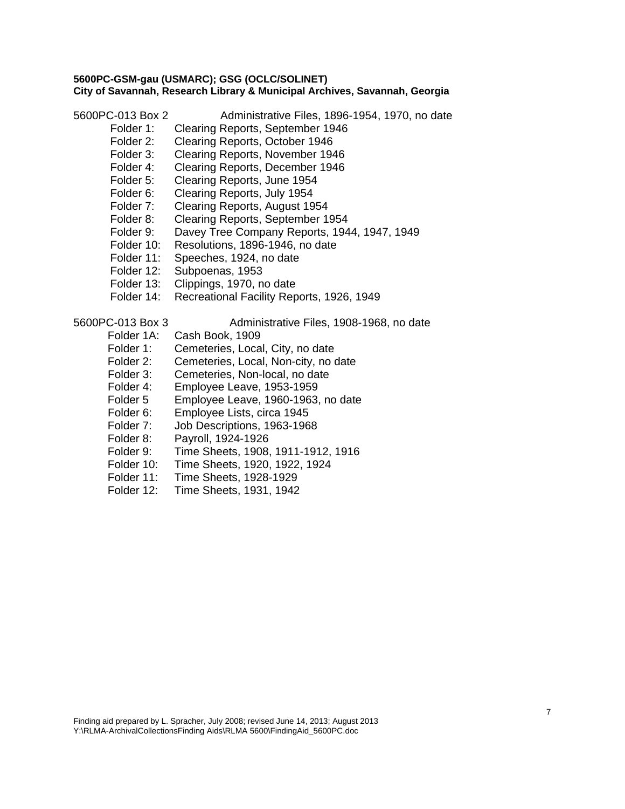5600PC-013 Box 2 Administrative Files, 1896-1954, 1970, no date

- Folder 1: Clearing Reports, September 1946
- Folder 2: Clearing Reports, October 1946
- Folder 3: Clearing Reports, November 1946
- Folder 4: Clearing Reports, December 1946
- Folder 5: Clearing Reports, June 1954
- Folder 6: Clearing Reports, July 1954
- Folder 7: Clearing Reports, August 1954
- Folder 8: Clearing Reports, September 1954
- Folder 9: Davey Tree Company Reports, 1944, 1947, 1949
- Folder 10: Resolutions, 1896-1946, no date
- Folder 11: Speeches, 1924, no date
- Folder 12: Subpoenas, 1953
- Folder 13: Clippings, 1970, no date
- Folder 14: Recreational Facility Reports, 1926, 1949

5600PC-013 Box 3 Administrative Files, 1908-1968, no date

- Folder 1A: Cash Book, 1909
- Folder 1: Cemeteries, Local, City, no date
- Folder 2: Cemeteries, Local, Non-city, no date
- Folder 3: Cemeteries, Non-local, no date
- Folder 4: Employee Leave, 1953-1959
- Folder 5 Employee Leave, 1960-1963, no date
- Folder 6: Employee Lists, circa 1945
- Folder 7: Job Descriptions, 1963-1968
- Folder 8: Payroll, 1924-1926
- Folder 9: Time Sheets, 1908, 1911-1912, 1916
- Folder 10: Time Sheets, 1920, 1922, 1924
- Folder 11: Time Sheets, 1928-1929
- Folder 12: Time Sheets, 1931, 1942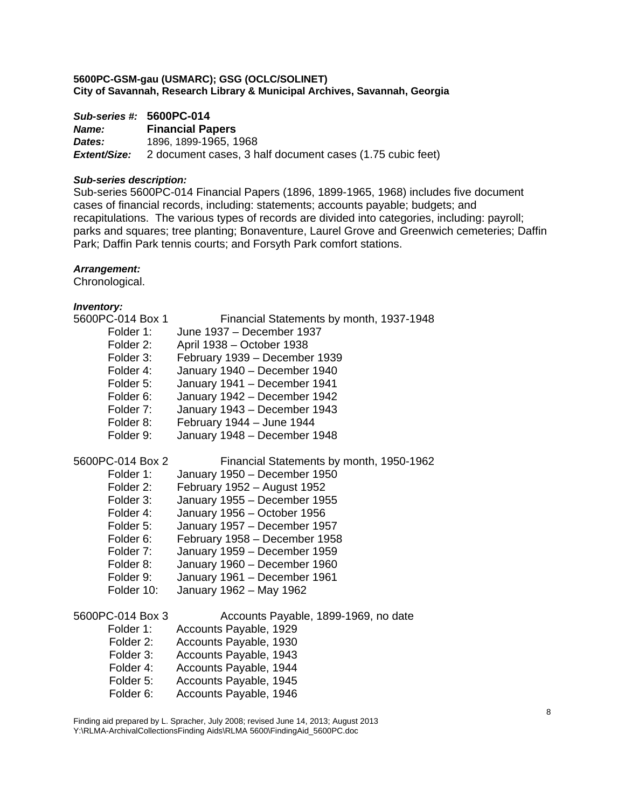|              | Sub-series #: 5600PC-014                                  |  |
|--------------|-----------------------------------------------------------|--|
| <b>Name:</b> | <b>Financial Papers</b>                                   |  |
| Dates:       | 1896, 1899-1965, 1968                                     |  |
| Extent/Size: | 2 document cases, 3 half document cases (1.75 cubic feet) |  |

## *Sub-series description:*

Sub-series 5600PC-014 Financial Papers (1896, 1899-1965, 1968) includes five document cases of financial records, including: statements; accounts payable; budgets; and recapitulations. The various types of records are divided into categories, including: payroll; parks and squares; tree planting; Bonaventure, Laurel Grove and Greenwich cemeteries; Daffin Park; Daffin Park tennis courts; and Forsyth Park comfort stations.

## *Arrangement:*

Chronological.

| 5600PC-014 Box 1 | Financial Statements by month, 1937-1948 |
|------------------|------------------------------------------|
| Folder 1:        | June 1937 - December 1937                |
| Folder 2:        | April 1938 - October 1938                |
| Folder 3:        | February 1939 - December 1939            |
| Folder 4:        | January 1940 - December 1940             |
| Folder 5:        | January 1941 - December 1941             |
| Folder 6:        | January 1942 - December 1942             |
| Folder 7:        | January 1943 - December 1943             |
| Folder 8:        | February 1944 - June 1944                |
| Folder 9:        | January 1948 - December 1948             |
| 5600PC-014 Box 2 | Financial Statements by month, 1950-1962 |
| Folder 1:        | January 1950 - December 1950             |
| Folder 2:        | February 1952 - August 1952              |
| Folder 3:        | January 1955 - December 1955             |
| Folder 4:        | January 1956 - October 1956              |
| Folder 5:        | January 1957 - December 1957             |
| Folder 6:        | February 1958 - December 1958            |
| Folder 7:        | January 1959 - December 1959             |
| Folder 8:        | January 1960 - December 1960             |
| Folder 9:        | January 1961 - December 1961             |
| Folder 10:       | January 1962 - May 1962                  |
| 5600PC-014 Box 3 | Accounts Payable, 1899-1969, no date     |
| Folder 1:        | Accounts Payable, 1929                   |
| Folder 2:        | Accounts Payable, 1930                   |
| Folder 3:        | Accounts Payable, 1943                   |
| Folder 4:        | Accounts Payable, 1944                   |
| Folder 5:        | Accounts Payable, 1945                   |
| Folder 6:        | Accounts Payable, 1946                   |
|                  |                                          |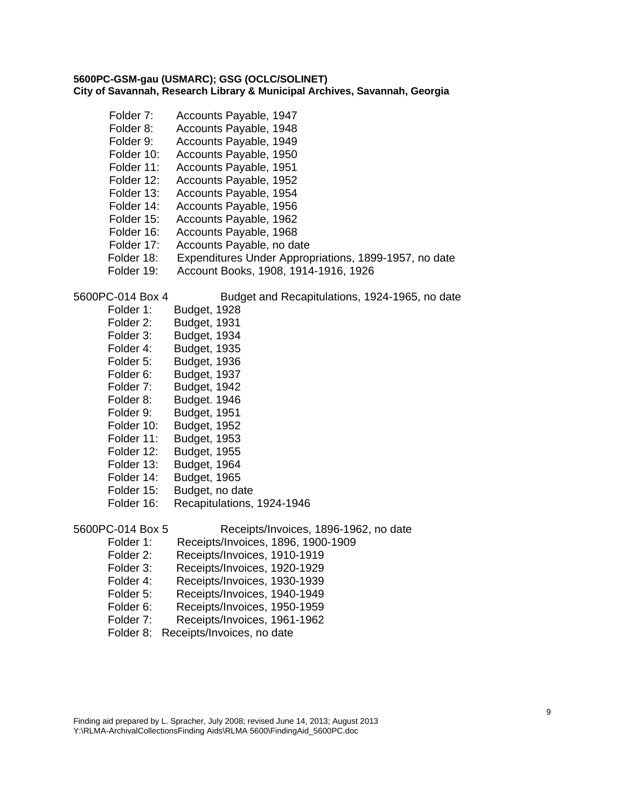- Folder 7: Accounts Payable, 1947 Folder 8: Accounts Payable, 1948 Folder 9: Accounts Payable, 1949 Folder 10: Accounts Payable, 1950 Folder 11: Accounts Payable, 1951 Folder 12: Accounts Payable, 1952 Folder 13: Accounts Payable, 1954 Folder 14: Accounts Payable, 1956 Folder 15: Accounts Payable, 1962 Folder 16: Accounts Payable, 1968 Folder 17: Accounts Payable, no date Folder 18: Expenditures Under Appropriations, 1899-1957, no date Folder 19: Account Books, 1908, 1914-1916, 1926 5600PC-014 Box 4 Budget and Recapitulations, 1924-1965, no date Folder 1: Budget, 1928 Folder 2: Budget, 1931 Folder 3: Budget, 1934 Folder 4: Budget, 1935 Folder 5: Budget, 1936 Folder 6: Budget, 1937 Folder 7: Budget, 1942 Folder 8: Budget. 1946 Folder 9: Budget, 1951 Folder 10: Budget, 1952 Folder 11: Budget, 1953 Folder 12: Budget, 1955 Folder 13: Budget, 1964 Folder 14: Budget, 1965<br>Folder 15: Budget, no da Budget, no date Folder 16: Recapitulations, 1924-1946 5600PC-014 Box 5 Receipts/Invoices, 1896-1962, no date Folder 1: Receipts/Invoices, 1896, 1900-1909 Folder 2: Receipts/Invoices, 1910-1919 Folder 3: Receipts/Invoices, 1920-1929 Folder 4: Receipts/Invoices, 1930-1939 Folder 5: Receipts/Invoices, 1940-1949 Folder 6: Receipts/Invoices, 1950-1959
	- Folder 7: Receipts/Invoices, 1961-1962
	- Folder 8: Receipts/Invoices, no date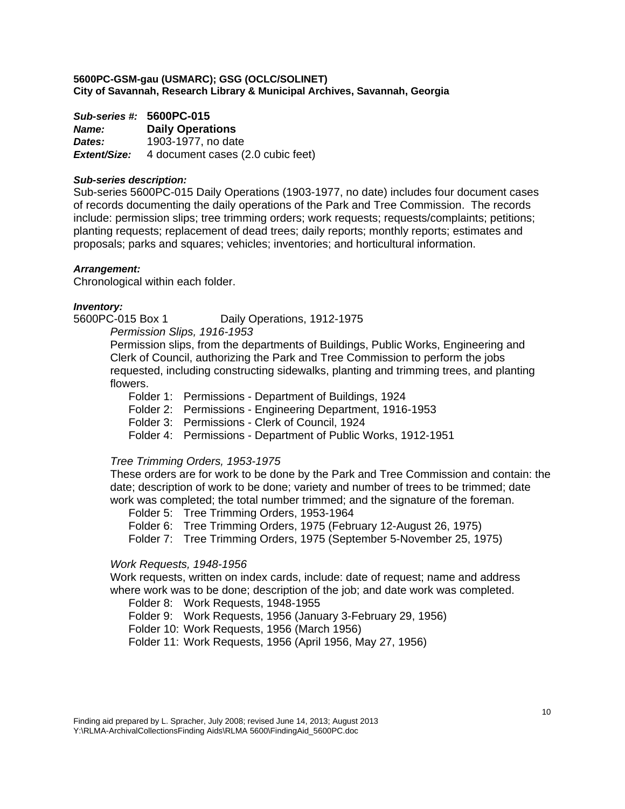*Sub-series #:* **5600PC-015** *Name:* **Daily Operations**  *Dates:* 1903-1977, no date *Extent/Size:* 4 document cases (2.0 cubic feet)

## *Sub-series description:*

Sub-series 5600PC-015 Daily Operations (1903-1977, no date) includes four document cases of records documenting the daily operations of the Park and Tree Commission. The records include: permission slips; tree trimming orders; work requests; requests/complaints; petitions; planting requests; replacement of dead trees; daily reports; monthly reports; estimates and proposals; parks and squares; vehicles; inventories; and horticultural information.

## *Arrangement:*

Chronological within each folder.

#### *Inventory:*

5600PC-015 Box 1 Daily Operations, 1912-1975

*Permission Slips, 1916-1953* 

Permission slips, from the departments of Buildings, Public Works, Engineering and Clerk of Council, authorizing the Park and Tree Commission to perform the jobs requested, including constructing sidewalks, planting and trimming trees, and planting flowers.

Folder 1: Permissions - Department of Buildings, 1924

Folder 2: Permissions - Engineering Department, 1916-1953

Folder 3: Permissions - Clerk of Council, 1924

Folder 4: Permissions - Department of Public Works, 1912-1951

## *Tree Trimming Orders, 1953-1975*

These orders are for work to be done by the Park and Tree Commission and contain: the date; description of work to be done; variety and number of trees to be trimmed; date work was completed; the total number trimmed; and the signature of the foreman.

Folder 5: Tree Trimming Orders, 1953-1964

Folder 6: Tree Trimming Orders, 1975 (February 12-August 26, 1975)

Folder 7: Tree Trimming Orders, 1975 (September 5-November 25, 1975)

## *Work Requests, 1948-1956*

Work requests, written on index cards, include: date of request; name and address where work was to be done; description of the job; and date work was completed.

Folder 8: Work Requests, 1948-1955

Folder 9: Work Requests, 1956 (January 3-February 29, 1956)

Folder 10: Work Requests, 1956 (March 1956)

Folder 11: Work Requests, 1956 (April 1956, May 27, 1956)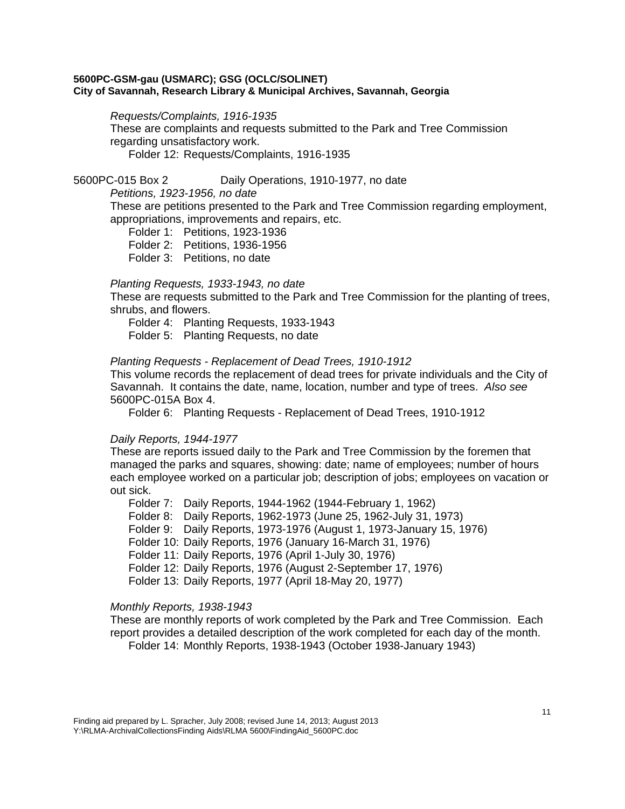#### *Requests/Complaints, 1916-1935*

These are complaints and requests submitted to the Park and Tree Commission regarding unsatisfactory work.

Folder 12: Requests/Complaints, 1916-1935

## 5600PC-015 Box 2 Daily Operations, 1910-1977, no date

*Petitions, 1923-1956, no date* 

These are petitions presented to the Park and Tree Commission regarding employment, appropriations, improvements and repairs, etc.

Folder 1: Petitions, 1923-1936

Folder 2: Petitions, 1936-1956

Folder 3: Petitions, no date

## *Planting Requests, 1933-1943, no date*

These are requests submitted to the Park and Tree Commission for the planting of trees, shrubs, and flowers.

Folder 4: Planting Requests, 1933-1943

Folder 5: Planting Requests, no date

## *Planting Requests - Replacement of Dead Trees, 1910-1912*

This volume records the replacement of dead trees for private individuals and the City of Savannah. It contains the date, name, location, number and type of trees. *Also see* 5600PC-015A Box 4.

Folder 6: Planting Requests - Replacement of Dead Trees, 1910-1912

## *Daily Reports, 1944-1977*

These are reports issued daily to the Park and Tree Commission by the foremen that managed the parks and squares, showing: date; name of employees; number of hours each employee worked on a particular job; description of jobs; employees on vacation or out sick.

Folder 7: Daily Reports, 1944-1962 (1944-February 1, 1962) Folder 8: Daily Reports, 1962-1973 (June 25, 1962-July 31, 1973) Folder 9: Daily Reports, 1973-1976 (August 1, 1973-January 15, 1976) Folder 10: Daily Reports, 1976 (January 16-March 31, 1976) Folder 11: Daily Reports, 1976 (April 1-July 30, 1976) Folder 12: Daily Reports, 1976 (August 2-September 17, 1976) Folder 13: Daily Reports, 1977 (April 18-May 20, 1977)

## *Monthly Reports, 1938-1943*

These are monthly reports of work completed by the Park and Tree Commission. Each report provides a detailed description of the work completed for each day of the month. Folder 14: Monthly Reports, 1938-1943 (October 1938-January 1943)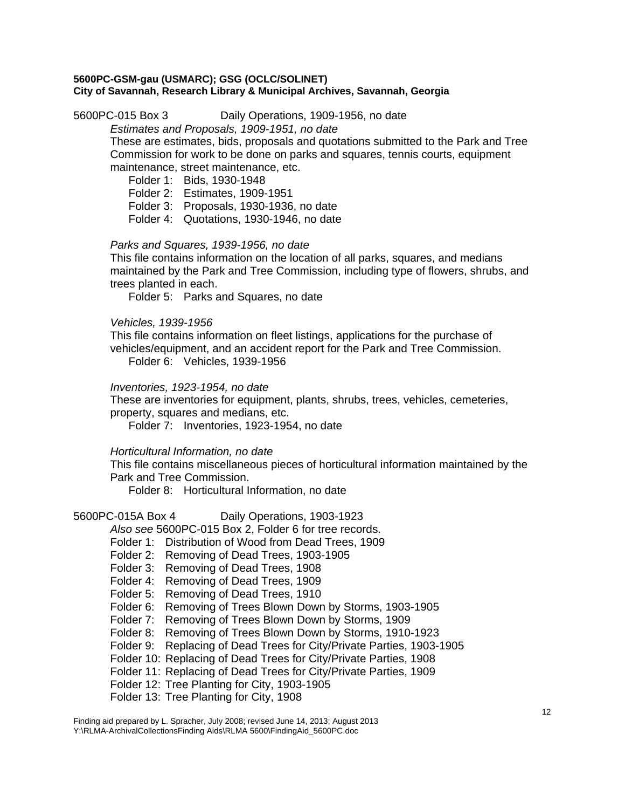5600PC-015 Box 3 Daily Operations, 1909-1956, no date

*Estimates and Proposals, 1909-1951, no date* 

These are estimates, bids, proposals and quotations submitted to the Park and Tree Commission for work to be done on parks and squares, tennis courts, equipment maintenance, street maintenance, etc.

Folder 1: Bids, 1930-1948

Folder 2: Estimates, 1909-1951

Folder 3: Proposals, 1930-1936, no date

Folder 4: Quotations, 1930-1946, no date

## *Parks and Squares, 1939-1956, no date*

This file contains information on the location of all parks, squares, and medians maintained by the Park and Tree Commission, including type of flowers, shrubs, and trees planted in each.

Folder 5: Parks and Squares, no date

*Vehicles, 1939-1956* 

This file contains information on fleet listings, applications for the purchase of vehicles/equipment, and an accident report for the Park and Tree Commission. Folder 6: Vehicles, 1939-1956

*Inventories, 1923-1954, no date* 

These are inventories for equipment, plants, shrubs, trees, vehicles, cemeteries, property, squares and medians, etc.

Folder 7: Inventories, 1923-1954, no date

*Horticultural Information, no date* 

This file contains miscellaneous pieces of horticultural information maintained by the Park and Tree Commission.

Folder 8: Horticultural Information, no date

5600PC-015A Box 4 Daily Operations, 1903-1923

*Also see* 5600PC-015 Box 2, Folder 6 for tree records.

- Folder 1: Distribution of Wood from Dead Trees, 1909
- Folder 2: Removing of Dead Trees, 1903-1905
- Folder 3: Removing of Dead Trees, 1908

Folder 4: Removing of Dead Trees, 1909

- Folder 5: Removing of Dead Trees, 1910
- Folder 6: Removing of Trees Blown Down by Storms, 1903-1905
- Folder 7: Removing of Trees Blown Down by Storms, 1909
- Folder 8: Removing of Trees Blown Down by Storms, 1910-1923
- Folder 9: Replacing of Dead Trees for City/Private Parties, 1903-1905
- Folder 10: Replacing of Dead Trees for City/Private Parties, 1908
- Folder 11: Replacing of Dead Trees for City/Private Parties, 1909
- Folder 12: Tree Planting for City, 1903-1905
- Folder 13: Tree Planting for City, 1908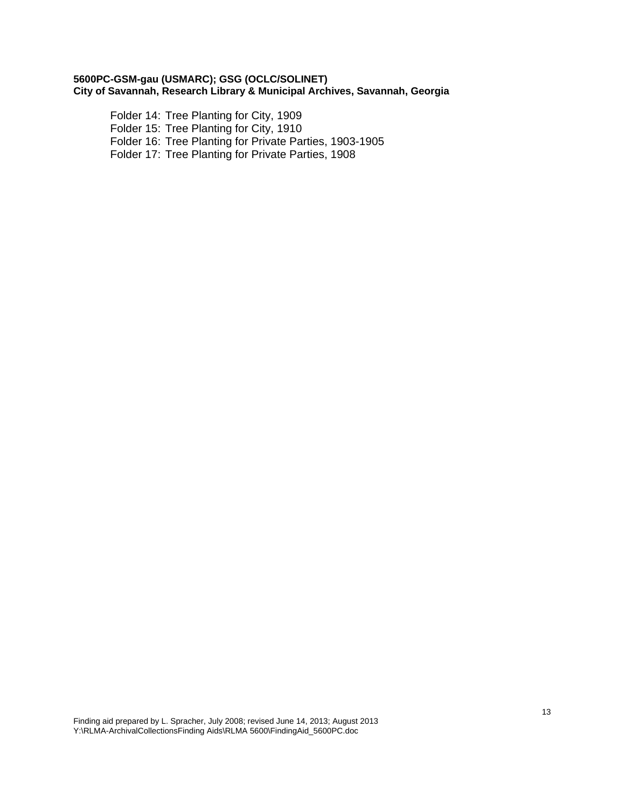Folder 14: Tree Planting for City, 1909 Folder 15: Tree Planting for City, 1910 Folder 16: Tree Planting for Private Parties, 1903-1905 Folder 17: Tree Planting for Private Parties, 1908

Finding aid prepared by L. Spracher, July 2008; revised June 14, 2013; August 2013 Y:\RLMA-ArchivalCollectionsFinding Aids\RLMA 5600\FindingAid\_5600PC.doc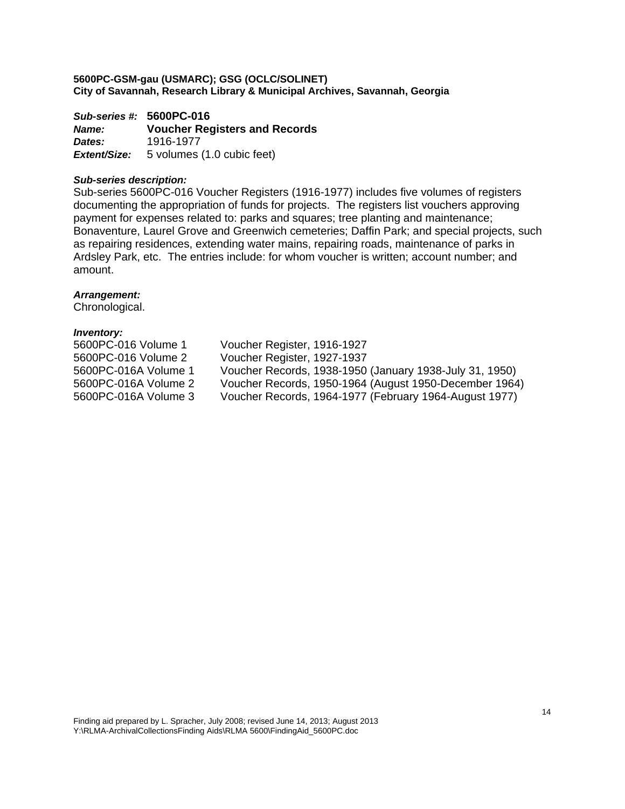*Sub-series #:* **5600PC-016** *Name:* **Voucher Registers and Records**  *Dates:* 1916-1977 *Extent/Size:* 5 volumes (1.0 cubic feet)

#### *Sub-series description:*

Sub-series 5600PC-016 Voucher Registers (1916-1977) includes five volumes of registers documenting the appropriation of funds for projects. The registers list vouchers approving payment for expenses related to: parks and squares; tree planting and maintenance; Bonaventure, Laurel Grove and Greenwich cemeteries; Daffin Park; and special projects, such as repairing residences, extending water mains, repairing roads, maintenance of parks in Ardsley Park, etc. The entries include: for whom voucher is written; account number; and amount.

#### *Arrangement:*

Chronological.

| 5600PC-016 Volume 1  | Voucher Register, 1916-1927                             |
|----------------------|---------------------------------------------------------|
| 5600PC-016 Volume 2  | Voucher Register, 1927-1937                             |
| 5600PC-016A Volume 1 | Voucher Records, 1938-1950 (January 1938-July 31, 1950) |
| 5600PC-016A Volume 2 | Voucher Records, 1950-1964 (August 1950-December 1964)  |
| 5600PC-016A Volume 3 | Voucher Records, 1964-1977 (February 1964-August 1977)  |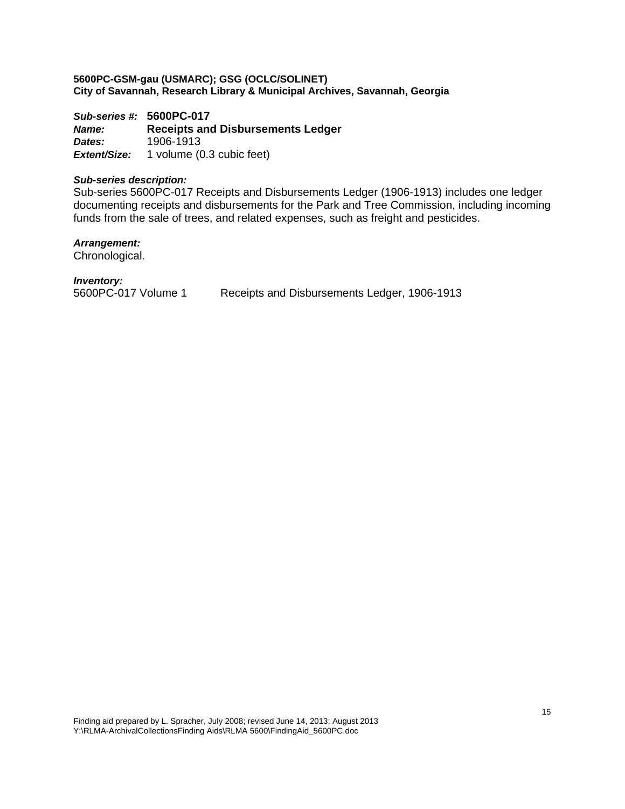*Sub-series #:* **5600PC-017** *Name:* **Receipts and Disbursements Ledger**  *Dates:* 1906-1913 *Extent/Size:* 1 volume (0.3 cubic feet)

## *Sub-series description:*

Sub-series 5600PC-017 Receipts and Disbursements Ledger (1906-1913) includes one ledger documenting receipts and disbursements for the Park and Tree Commission, including incoming funds from the sale of trees, and related expenses, such as freight and pesticides.

*Arrangement:* 

Chronological.

*Inventory:* 

5600PC-017 Volume 1 Receipts and Disbursements Ledger, 1906-1913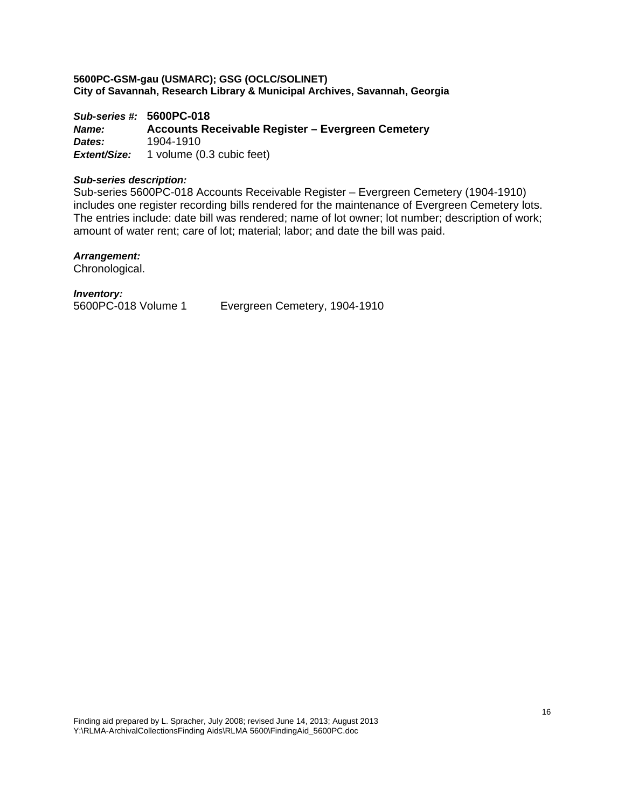*Sub-series #:* **5600PC-018** *Name:* **Accounts Receivable Register – Evergreen Cemetery**  *Dates:* 1904-1910 *Extent/Size:* 1 volume (0.3 cubic feet)

#### *Sub-series description:*

Sub-series 5600PC-018 Accounts Receivable Register – Evergreen Cemetery (1904-1910) includes one register recording bills rendered for the maintenance of Evergreen Cemetery lots. The entries include: date bill was rendered; name of lot owner; lot number; description of work; amount of water rent; care of lot; material; labor; and date the bill was paid.

#### *Arrangement:*

Chronological.

*Inventory:* 

5600PC-018 Volume 1 Evergreen Cemetery, 1904-1910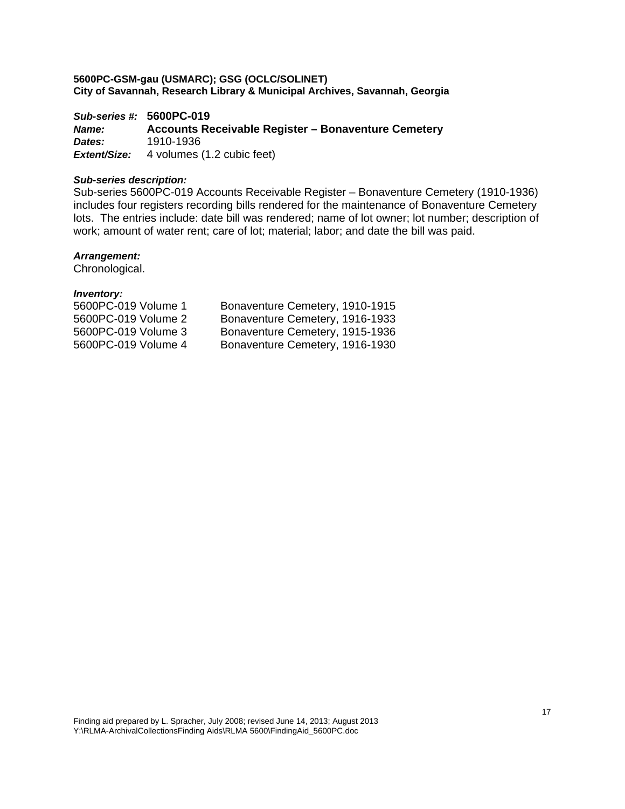*Sub-series #:* **5600PC-019** *Name:* **Accounts Receivable Register – Bonaventure Cemetery**  *Dates:* 1910-1936 **Extent/Size:** 4 volumes (1.2 cubic feet)

## *Sub-series description:*

Sub-series 5600PC-019 Accounts Receivable Register – Bonaventure Cemetery (1910-1936) includes four registers recording bills rendered for the maintenance of Bonaventure Cemetery lots. The entries include: date bill was rendered; name of lot owner; lot number; description of work; amount of water rent; care of lot; material; labor; and date the bill was paid.

#### *Arrangement:*

Chronological.

| 5600PC-019 Volume 1 | Bonaventure Cemetery, 1910-1915 |
|---------------------|---------------------------------|
| 5600PC-019 Volume 2 | Bonaventure Cemetery, 1916-1933 |
| 5600PC-019 Volume 3 | Bonaventure Cemetery, 1915-1936 |
| 5600PC-019 Volume 4 | Bonaventure Cemetery, 1916-1930 |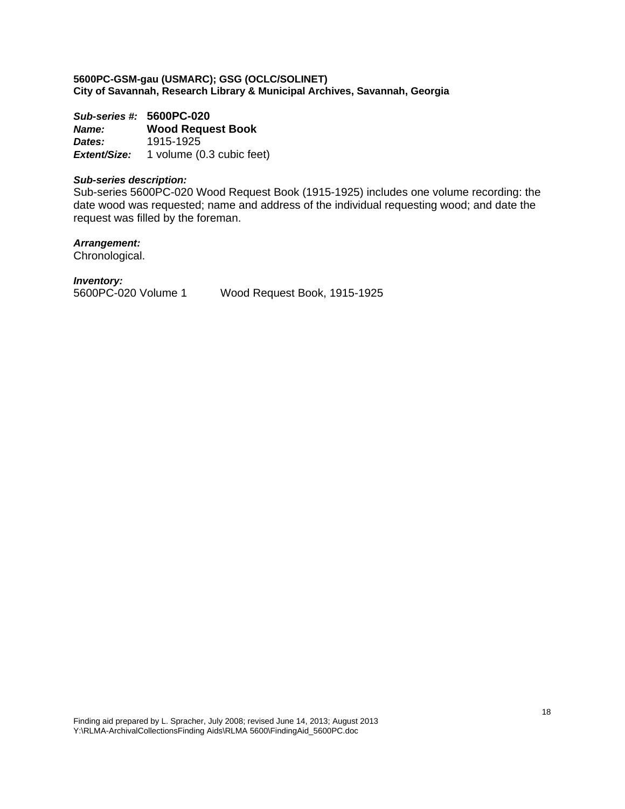*Sub-series #:* **5600PC-020** *Name:* **Wood Request Book**  *Dates:* 1915-1925 *Extent/Size:* 1 volume (0.3 cubic feet)

#### *Sub-series description:*

Sub-series 5600PC-020 Wood Request Book (1915-1925) includes one volume recording: the date wood was requested; name and address of the individual requesting wood; and date the request was filled by the foreman.

*Arrangement:* 

Chronological.

*Inventory:* 

5600PC-020 Volume 1 Wood Request Book, 1915-1925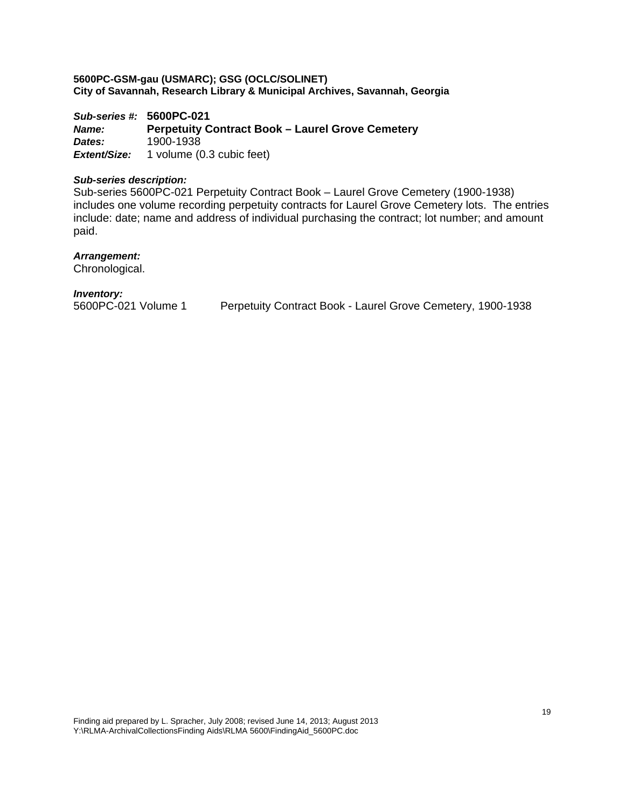*Sub-series #:* **5600PC-021** *Name:* **Perpetuity Contract Book – Laurel Grove Cemetery**  *Dates:* 1900-1938 *Extent/Size:* 1 volume (0.3 cubic feet)

## *Sub-series description:*

Sub-series 5600PC-021 Perpetuity Contract Book – Laurel Grove Cemetery (1900-1938) includes one volume recording perpetuity contracts for Laurel Grove Cemetery lots. The entries include: date; name and address of individual purchasing the contract; lot number; and amount paid.

#### *Arrangement:*

Chronological.

#### *Inventory:*

5600PC-021 Volume 1 Perpetuity Contract Book - Laurel Grove Cemetery, 1900-1938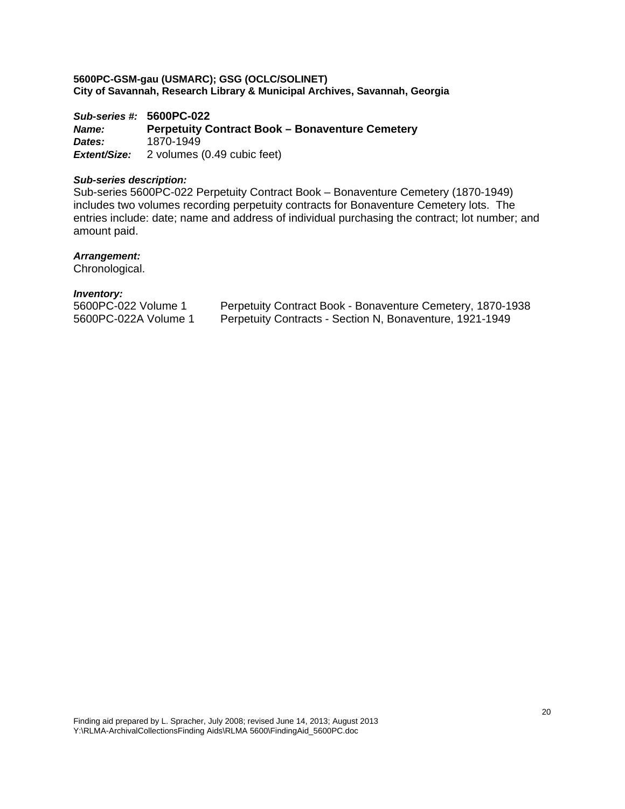*Sub-series #:* **5600PC-022** *Name:* **Perpetuity Contract Book – Bonaventure Cemetery**  *Dates:* 1870-1949 *Extent/Size:* 2 volumes (0.49 cubic feet)

## *Sub-series description:*

Sub-series 5600PC-022 Perpetuity Contract Book – Bonaventure Cemetery (1870-1949) includes two volumes recording perpetuity contracts for Bonaventure Cemetery lots. The entries include: date; name and address of individual purchasing the contract; lot number; and amount paid.

#### *Arrangement:*

Chronological.

| 5600PC-022 Volume 1  | Perpetuity Contract Book - Bonaventure Cemetery, 1870-1938 |
|----------------------|------------------------------------------------------------|
| 5600PC-022A Volume 1 | Perpetuity Contracts - Section N, Bonaventure, 1921-1949   |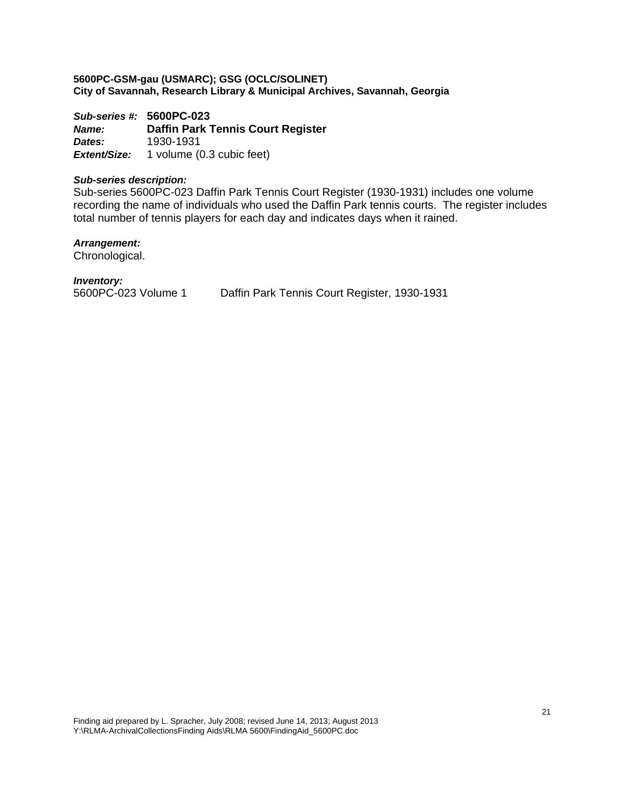*Sub-series #:* **5600PC-023** *Name:* **Daffin Park Tennis Court Register**  *Dates:* 1930-1931 *Extent/Size:* 1 volume (0.3 cubic feet)

#### *Sub-series description:*

Sub-series 5600PC-023 Daffin Park Tennis Court Register (1930-1931) includes one volume recording the name of individuals who used the Daffin Park tennis courts. The register includes total number of tennis players for each day and indicates days when it rained.

## *Arrangement:*

Chronological.

## *Inventory:*

5600PC-023 Volume 1 Daffin Park Tennis Court Register, 1930-1931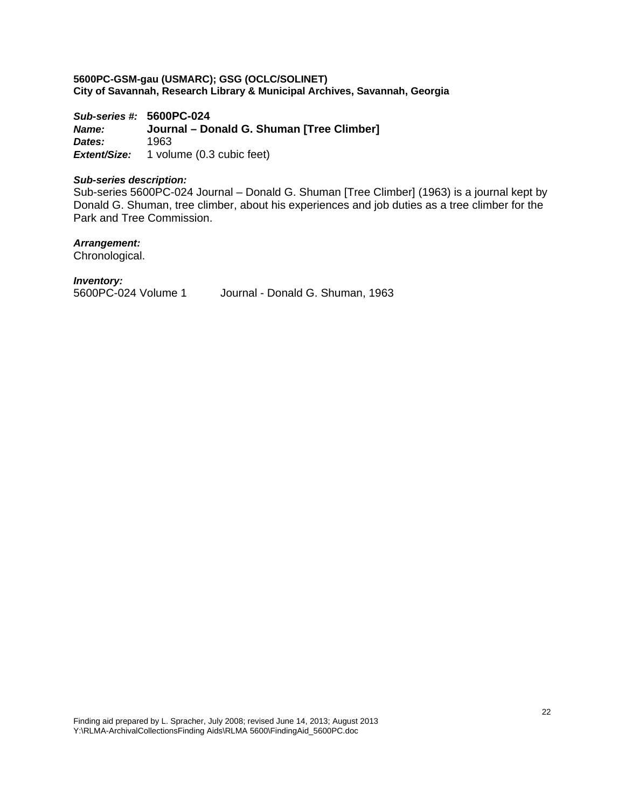*Sub-series #:* **5600PC-024** *Name:* **Journal – Donald G. Shuman [Tree Climber]**  *Dates:* 1963 *Extent/Size:* 1 volume (0.3 cubic feet)

#### *Sub-series description:*

Sub-series 5600PC-024 Journal – Donald G. Shuman [Tree Climber] (1963) is a journal kept by Donald G. Shuman, tree climber, about his experiences and job duties as a tree climber for the Park and Tree Commission.

## *Arrangement:*

Chronological.

#### *Inventory:*

5600PC-024 Volume 1 Journal - Donald G. Shuman, 1963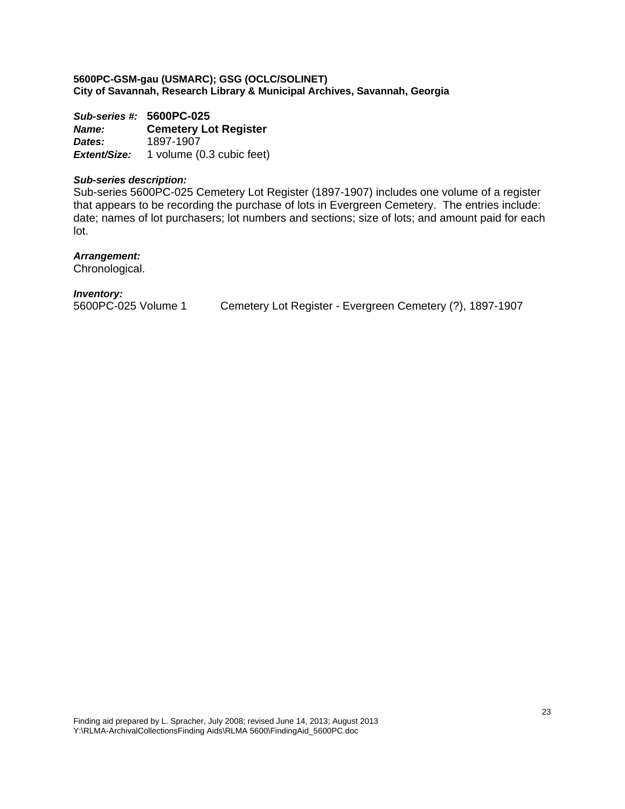*Sub-series #:* **5600PC-025** *Name:* **Cemetery Lot Register**  *Dates:* 1897-1907 *Extent/Size:* 1 volume (0.3 cubic feet)

### *Sub-series description:*

Sub-series 5600PC-025 Cemetery Lot Register (1897-1907) includes one volume of a register that appears to be recording the purchase of lots in Evergreen Cemetery. The entries include: date; names of lot purchasers; lot numbers and sections; size of lots; and amount paid for each lot.

#### *Arrangement:*

Chronological.

## *Inventory:*

5600PC-025 Volume 1 Cemetery Lot Register - Evergreen Cemetery (?), 1897-1907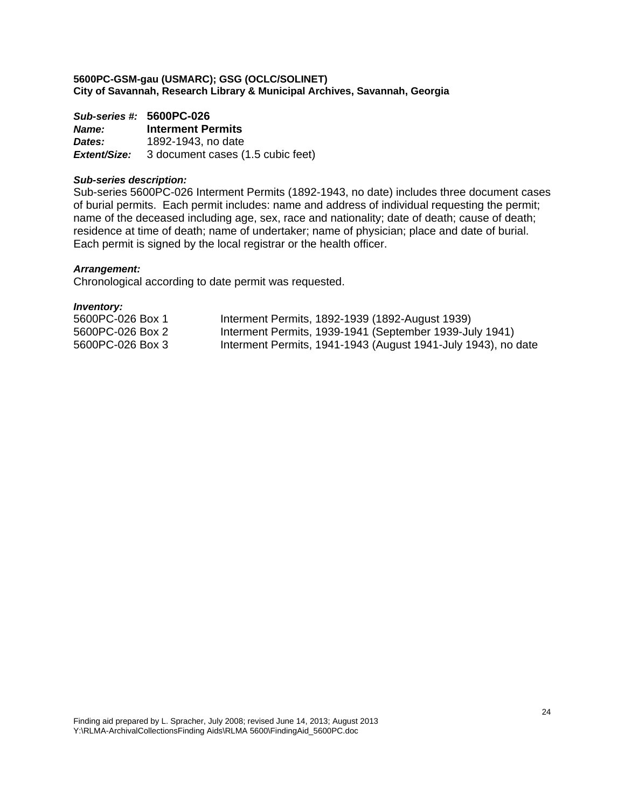|        | Sub-series #: 5600PC-026                              |
|--------|-------------------------------------------------------|
| Name:  | <b>Interment Permits</b>                              |
| Dates: | 1892-1943, no date                                    |
|        | <b>Extent/Size:</b> 3 document cases (1.5 cubic feet) |

#### *Sub-series description:*

Sub-series 5600PC-026 Interment Permits (1892-1943, no date) includes three document cases of burial permits. Each permit includes: name and address of individual requesting the permit; name of the deceased including age, sex, race and nationality; date of death; cause of death; residence at time of death; name of undertaker; name of physician; place and date of burial. Each permit is signed by the local registrar or the health officer.

## *Arrangement:*

Chronological according to date permit was requested.

| 5600PC-026 Box 1 |  | Interment Permits, 1892-1939 (1892-August 1939)               |
|------------------|--|---------------------------------------------------------------|
| 5600PC-026 Box 2 |  | Interment Permits, 1939-1941 (September 1939-July 1941)       |
| 5600PC-026 Box 3 |  | Interment Permits, 1941-1943 (August 1941-July 1943), no date |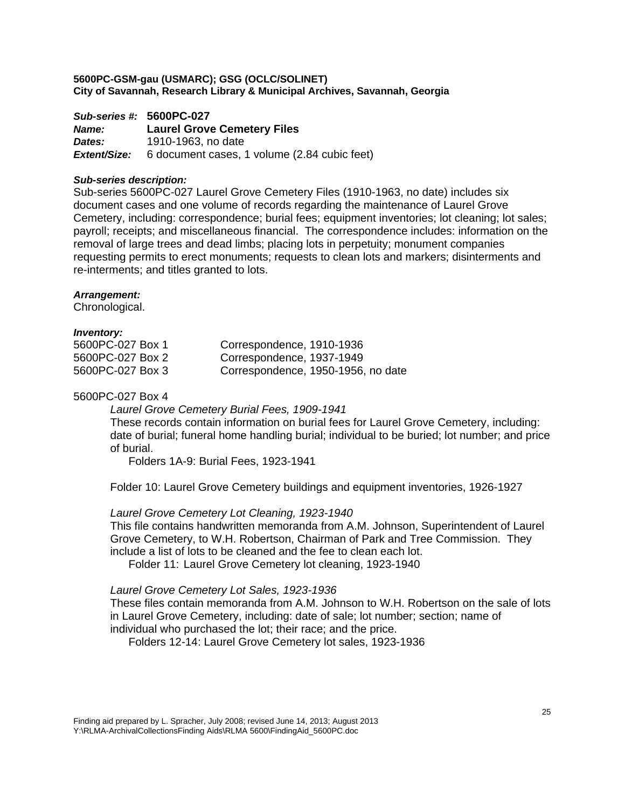*Sub-series #:* **5600PC-027** *Name:* **Laurel Grove Cemetery Files**  *Dates:* 1910-1963, no date *Extent/Size:* 6 document cases, 1 volume (2.84 cubic feet)

#### *Sub-series description:*

Sub-series 5600PC-027 Laurel Grove Cemetery Files (1910-1963, no date) includes six document cases and one volume of records regarding the maintenance of Laurel Grove Cemetery, including: correspondence; burial fees; equipment inventories; lot cleaning; lot sales; payroll; receipts; and miscellaneous financial. The correspondence includes: information on the removal of large trees and dead limbs; placing lots in perpetuity; monument companies requesting permits to erect monuments; requests to clean lots and markers; disinterments and re-interments; and titles granted to lots.

#### *Arrangement:*

Chronological.

#### *Inventory:*

| 5600PC-027 Box 1 | Correspondence, 1910-1936          |
|------------------|------------------------------------|
| 5600PC-027 Box 2 | Correspondence, 1937-1949          |
| 5600PC-027 Box 3 | Correspondence, 1950-1956, no date |

## 5600PC-027 Box 4

*Laurel Grove Cemetery Burial Fees, 1909-1941*

These records contain information on burial fees for Laurel Grove Cemetery, including: date of burial; funeral home handling burial; individual to be buried; lot number; and price of burial.

Folders 1A-9: Burial Fees, 1923-1941

Folder 10: Laurel Grove Cemetery buildings and equipment inventories, 1926-1927

## *Laurel Grove Cemetery Lot Cleaning, 1923-1940*

This file contains handwritten memoranda from A.M. Johnson, Superintendent of Laurel Grove Cemetery, to W.H. Robertson, Chairman of Park and Tree Commission. They include a list of lots to be cleaned and the fee to clean each lot.

Folder 11: Laurel Grove Cemetery lot cleaning, 1923-1940

## *Laurel Grove Cemetery Lot Sales, 1923-1936*

These files contain memoranda from A.M. Johnson to W.H. Robertson on the sale of lots in Laurel Grove Cemetery, including: date of sale; lot number; section; name of individual who purchased the lot; their race; and the price.

Folders 12-14: Laurel Grove Cemetery lot sales, 1923-1936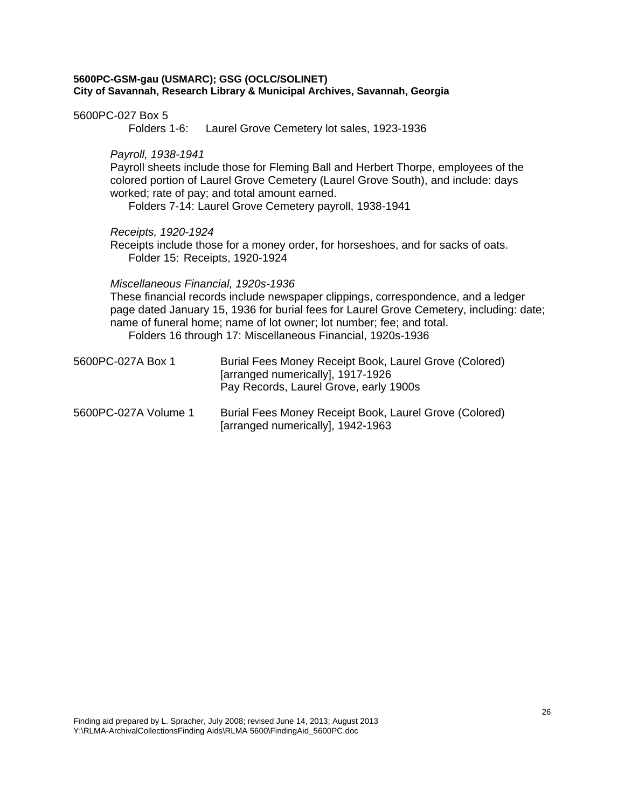5600PC-027 Box 5

Folders 1-6: Laurel Grove Cemetery lot sales, 1923-1936

*Payroll, 1938-1941* 

Payroll sheets include those for Fleming Ball and Herbert Thorpe, employees of the colored portion of Laurel Grove Cemetery (Laurel Grove South), and include: days worked; rate of pay; and total amount earned.

Folders 7-14: Laurel Grove Cemetery payroll, 1938-1941

*Receipts, 1920-1924* 

Receipts include those for a money order, for horseshoes, and for sacks of oats. Folder 15: Receipts, 1920-1924

*Miscellaneous Financial, 1920s-1936* 

These financial records include newspaper clippings, correspondence, and a ledger page dated January 15, 1936 for burial fees for Laurel Grove Cemetery, including: date; name of funeral home; name of lot owner; lot number; fee; and total. Folders 16 through 17: Miscellaneous Financial, 1920s-1936

| 5600PC-027A Box 1    | Burial Fees Money Receipt Book, Laurel Grove (Colored)<br>[arranged numerically], 1917-1926<br>Pay Records, Laurel Grove, early 1900s |
|----------------------|---------------------------------------------------------------------------------------------------------------------------------------|
| 5600PC-027A Volume 1 | Burial Fees Money Receipt Book, Laurel Grove (Colored)                                                                                |

[arranged numerically], 1942-1963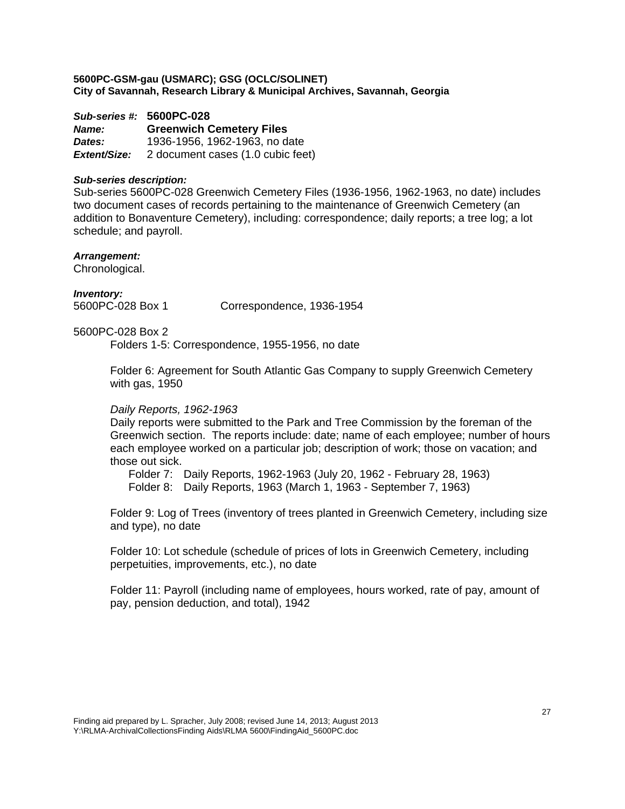*Sub-series #:* **5600PC-028** *Name:* **Greenwich Cemetery Files**  *Dates:* 1936-1956, 1962-1963, no date *Extent/Size:* 2 document cases (1.0 cubic feet)

#### *Sub-series description:*

Sub-series 5600PC-028 Greenwich Cemetery Files (1936-1956, 1962-1963, no date) includes two document cases of records pertaining to the maintenance of Greenwich Cemetery (an addition to Bonaventure Cemetery), including: correspondence; daily reports; a tree log; a lot schedule; and payroll.

#### *Arrangement:*

Chronological.

*Inventory:* 

5600PC-028 Box 1 Correspondence, 1936-1954

## 5600PC-028 Box 2

Folders 1-5: Correspondence, 1955-1956, no date

Folder 6: Agreement for South Atlantic Gas Company to supply Greenwich Cemetery with gas, 1950

#### *Daily Reports, 1962-1963*

Daily reports were submitted to the Park and Tree Commission by the foreman of the Greenwich section. The reports include: date; name of each employee; number of hours each employee worked on a particular job; description of work; those on vacation; and those out sick.

Folder 7: Daily Reports, 1962-1963 (July 20, 1962 - February 28, 1963) Folder 8: Daily Reports, 1963 (March 1, 1963 - September 7, 1963)

Folder 9: Log of Trees (inventory of trees planted in Greenwich Cemetery, including size and type), no date

Folder 10: Lot schedule (schedule of prices of lots in Greenwich Cemetery, including perpetuities, improvements, etc.), no date

Folder 11: Payroll (including name of employees, hours worked, rate of pay, amount of pay, pension deduction, and total), 1942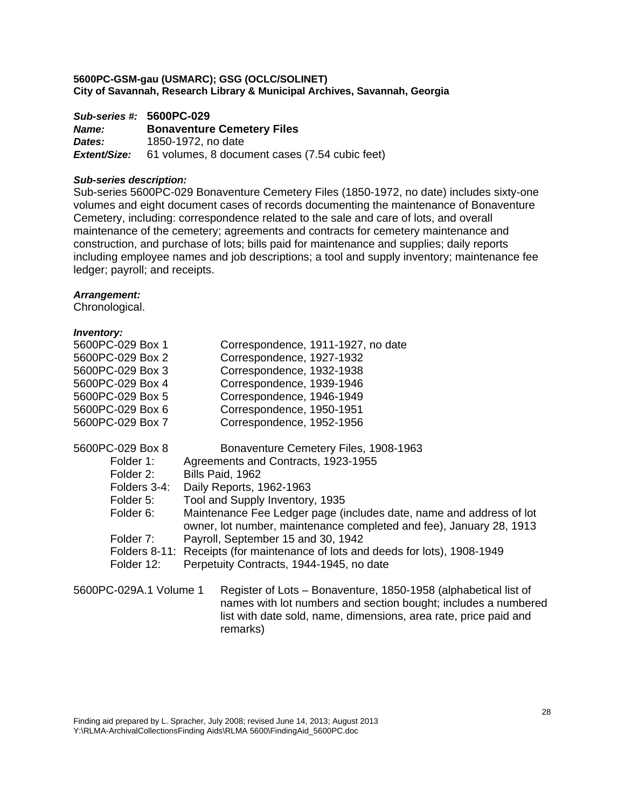|              | Sub-series #: 5600PC-029                       |
|--------------|------------------------------------------------|
| <i>Name:</i> | <b>Bonaventure Cemetery Files</b>              |
| Dates:       | 1850-1972, no date                             |
| Extent/Size: | 61 volumes, 8 document cases (7.54 cubic feet) |

#### *Sub-series description:*

Sub-series 5600PC-029 Bonaventure Cemetery Files (1850-1972, no date) includes sixty-one volumes and eight document cases of records documenting the maintenance of Bonaventure Cemetery, including: correspondence related to the sale and care of lots, and overall maintenance of the cemetery; agreements and contracts for cemetery maintenance and construction, and purchase of lots; bills paid for maintenance and supplies; daily reports including employee names and job descriptions; a tool and supply inventory; maintenance fee ledger; payroll; and receipts.

#### *Arrangement:*

Chronological.

## *Inventory:*

| 5600PC-029 Box 1       | Correspondence, 1911-1927, no date                                                                                                                                                                    |
|------------------------|-------------------------------------------------------------------------------------------------------------------------------------------------------------------------------------------------------|
| 5600PC-029 Box 2       | Correspondence, 1927-1932                                                                                                                                                                             |
| 5600PC-029 Box 3       | Correspondence, 1932-1938                                                                                                                                                                             |
| 5600PC-029 Box 4       | Correspondence, 1939-1946                                                                                                                                                                             |
| 5600PC-029 Box 5       | Correspondence, 1946-1949                                                                                                                                                                             |
| 5600PC-029 Box 6       | Correspondence, 1950-1951                                                                                                                                                                             |
| 5600PC-029 Box 7       | Correspondence, 1952-1956                                                                                                                                                                             |
| 5600PC-029 Box 8       | Bonaventure Cemetery Files, 1908-1963                                                                                                                                                                 |
| Folder 1:              | Agreements and Contracts, 1923-1955                                                                                                                                                                   |
| Folder 2:              | Bills Paid, 1962                                                                                                                                                                                      |
| Folders 3-4:           | Daily Reports, 1962-1963                                                                                                                                                                              |
| Folder 5:              | Tool and Supply Inventory, 1935                                                                                                                                                                       |
| Folder 6:              | Maintenance Fee Ledger page (includes date, name and address of lot<br>owner, lot number, maintenance completed and fee), January 28, 1913                                                            |
| Folder 7:              | Payroll, September 15 and 30, 1942                                                                                                                                                                    |
|                        | Folders 8-11: Receipts (for maintenance of lots and deeds for lots), 1908-1949                                                                                                                        |
| Folder 12:             | Perpetuity Contracts, 1944-1945, no date                                                                                                                                                              |
| 5600PC-029A.1 Volume 1 | Register of Lots – Bonaventure, 1850-1958 (alphabetical list of<br>names with lot numbers and section bought; includes a numbered<br>list with date sold, name, dimensions, area rate, price paid and |

remarks)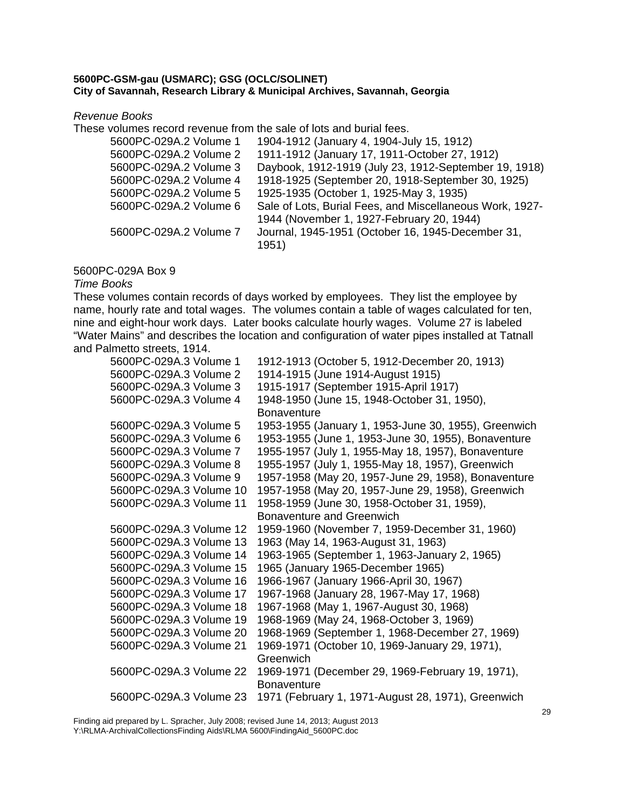*Revenue Books* 

These volumes record revenue from the sale of lots and burial fees.

| 1904-1912 (January 4, 1904-July 15, 1912)                  |
|------------------------------------------------------------|
| 1911-1912 (January 17, 1911-October 27, 1912)              |
| Daybook, 1912-1919 (July 23, 1912-September 19, 1918)      |
| 1918-1925 (September 20, 1918-September 30, 1925)          |
| 1925-1935 (October 1, 1925-May 3, 1935)                    |
| Sale of Lots, Burial Fees, and Miscellaneous Work, 1927-   |
| 1944 (November 1, 1927-February 20, 1944)                  |
| Journal, 1945-1951 (October 16, 1945-December 31,<br>1951) |
|                                                            |

## 5600PC-029A Box 9

*Time Books* 

These volumes contain records of days worked by employees. They list the employee by name, hourly rate and total wages. The volumes contain a table of wages calculated for ten, nine and eight-hour work days. Later books calculate hourly wages. Volume 27 is labeled "Water Mains" and describes the location and configuration of water pipes installed at Tatnall and Palmetto streets, 1914.

| 5600PC-029A.3 Volume 1  | 1912-1913 (October 5, 1912-December 20, 1913)        |
|-------------------------|------------------------------------------------------|
| 5600PC-029A.3 Volume 2  | 1914-1915 (June 1914-August 1915)                    |
| 5600PC-029A.3 Volume 3  | 1915-1917 (September 1915-April 1917)                |
| 5600PC-029A.3 Volume 4  | 1948-1950 (June 15, 1948-October 31, 1950),          |
|                         | <b>Bonaventure</b>                                   |
| 5600PC-029A.3 Volume 5  | 1953-1955 (January 1, 1953-June 30, 1955), Greenwich |
| 5600PC-029A.3 Volume 6  | 1953-1955 (June 1, 1953-June 30, 1955), Bonaventure  |
| 5600PC-029A.3 Volume 7  | 1955-1957 (July 1, 1955-May 18, 1957), Bonaventure   |
| 5600PC-029A.3 Volume 8  | 1955-1957 (July 1, 1955-May 18, 1957), Greenwich     |
| 5600PC-029A.3 Volume 9  | 1957-1958 (May 20, 1957-June 29, 1958), Bonaventure  |
| 5600PC-029A.3 Volume 10 | 1957-1958 (May 20, 1957-June 29, 1958), Greenwich    |
| 5600PC-029A.3 Volume 11 | 1958-1959 (June 30, 1958-October 31, 1959),          |
|                         | Bonaventure and Greenwich                            |
| 5600PC-029A.3 Volume 12 | 1959-1960 (November 7, 1959-December 31, 1960)       |
| 5600PC-029A.3 Volume 13 | 1963 (May 14, 1963-August 31, 1963)                  |
| 5600PC-029A.3 Volume 14 | 1963-1965 (September 1, 1963-January 2, 1965)        |
| 5600PC-029A.3 Volume 15 | 1965 (January 1965-December 1965)                    |
| 5600PC-029A.3 Volume 16 | 1966-1967 (January 1966-April 30, 1967)              |
| 5600PC-029A.3 Volume 17 | 1967-1968 (January 28, 1967-May 17, 1968)            |
| 5600PC-029A.3 Volume 18 | 1967-1968 (May 1, 1967-August 30, 1968)              |
| 5600PC-029A.3 Volume 19 | 1968-1969 (May 24, 1968-October 3, 1969)             |
| 5600PC-029A.3 Volume 20 | 1968-1969 (September 1, 1968-December 27, 1969)      |
| 5600PC-029A.3 Volume 21 | 1969-1971 (October 10, 1969-January 29, 1971),       |
|                         | Greenwich                                            |
| 5600PC-029A.3 Volume 22 | 1969-1971 (December 29, 1969-February 19, 1971),     |
|                         | <b>Bonaventure</b>                                   |
| 5600PC-029A.3 Volume 23 | 1971 (February 1, 1971-August 28, 1971), Greenwich   |
|                         |                                                      |

Finding aid prepared by L. Spracher, July 2008; revised June 14, 2013; August 2013 Y:\RLMA-ArchivalCollectionsFinding Aids\RLMA 5600\FindingAid\_5600PC.doc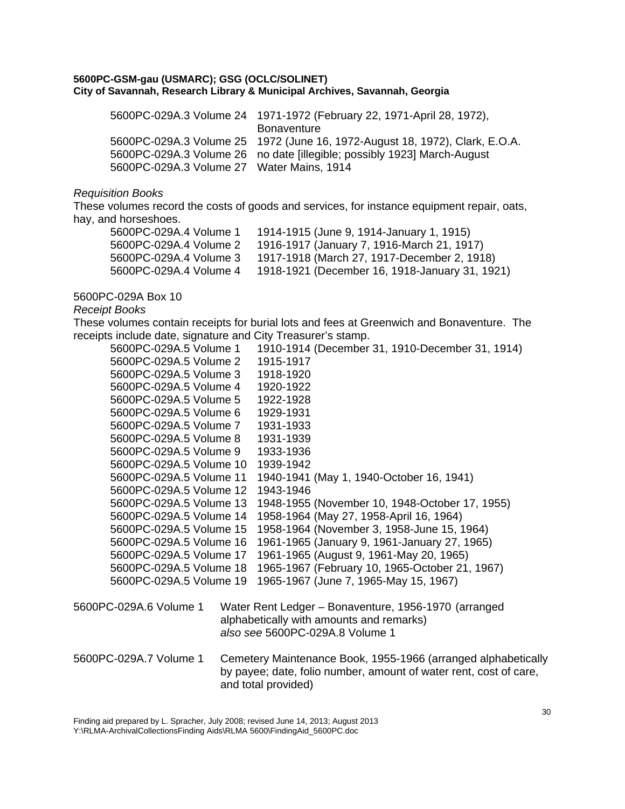| 5600PC-029A.3 Volume 24 1971-1972 (February 22, 1971-April 28, 1972),       |
|-----------------------------------------------------------------------------|
| <b>Bonaventure</b>                                                          |
| 5600PC-029A.3 Volume 25 1972 (June 16, 1972-August 18, 1972), Clark, E.O.A. |
| 5600PC-029A.3 Volume 26 no date [illegible; possibly 1923] March-August     |
| 5600PC-029A.3 Volume 27 Water Mains, 1914                                   |
|                                                                             |

## *Requisition Books*

These volumes record the costs of goods and services, for instance equipment repair, oats, hay, and horseshoes.

| 5600PC-029A.4 Volume 1 | 1914-1915 (June 9, 1914-January 1, 1915)       |
|------------------------|------------------------------------------------|
| 5600PC-029A.4 Volume 2 | 1916-1917 (January 7, 1916-March 21, 1917)     |
| 5600PC-029A.4 Volume 3 | 1917-1918 (March 27, 1917-December 2, 1918)    |
| 5600PC-029A.4 Volume 4 | 1918-1921 (December 16, 1918-January 31, 1921) |

## 5600PC-029A Box 10

## *Receipt Books*

These volumes contain receipts for burial lots and fees at Greenwich and Bonaventure. The receipts include date, signature and City Treasurer's stamp.

| 5600PC-029A.5 Volume 1  | 1910-1914 (December 31, 1910-December 31, 1914)                   |
|-------------------------|-------------------------------------------------------------------|
| 5600PC-029A.5 Volume 2  | 1915-1917                                                         |
| 5600PC-029A.5 Volume 3  | 1918-1920                                                         |
| 5600PC-029A.5 Volume 4  | 1920-1922                                                         |
| 5600PC-029A.5 Volume 5  | 1922-1928                                                         |
| 5600PC-029A.5 Volume 6  | 1929-1931                                                         |
| 5600PC-029A.5 Volume 7  | 1931-1933                                                         |
| 5600PC-029A.5 Volume 8  | 1931-1939                                                         |
| 5600PC-029A.5 Volume 9  | 1933-1936                                                         |
| 5600PC-029A.5 Volume 10 | 1939-1942                                                         |
| 5600PC-029A.5 Volume 11 | 1940-1941 (May 1, 1940-October 16, 1941)                          |
| 5600PC-029A.5 Volume 12 | 1943-1946                                                         |
| 5600PC-029A.5 Volume 13 | 1948-1955 (November 10, 1948-October 17, 1955)                    |
| 5600PC-029A.5 Volume 14 | 1958-1964 (May 27, 1958-April 16, 1964)                           |
| 5600PC-029A.5 Volume 15 | 1958-1964 (November 3, 1958-June 15, 1964)                        |
| 5600PC-029A.5 Volume 16 | 1961-1965 (January 9, 1961-January 27, 1965)                      |
| 5600PC-029A.5 Volume 17 | 1961-1965 (August 9, 1961-May 20, 1965)                           |
| 5600PC-029A.5 Volume 18 | 1965-1967 (February 10, 1965-October 21, 1967)                    |
| 5600PC-029A.5 Volume 19 | 1965-1967 (June 7, 1965-May 15, 1967)                             |
| 5600PC-029A.6 Volume 1  | Water Rent Ledger - Bonaventure, 1956-1970 (arranged              |
|                         | alphabetically with amounts and remarks)                          |
|                         | also see 5600PC-029A.8 Volume 1                                   |
|                         |                                                                   |
| 5600PC-029A.7 Volume 1  | Cemetery Maintenance Book, 1955-1966 (arranged alphabetically     |
|                         | by payee; date, folio number, amount of water rent, cost of care, |

Finding aid prepared by L. Spracher, July 2008; revised June 14, 2013; August 2013 Y:\RLMA-ArchivalCollectionsFinding Aids\RLMA 5600\FindingAid\_5600PC.doc

and total provided)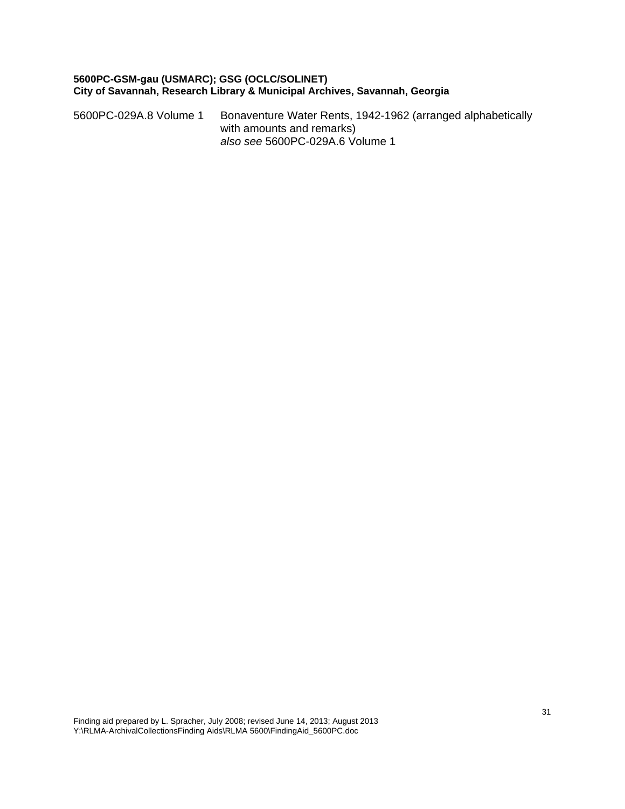5600PC-029A.8 Volume 1 Bonaventure Water Rents, 1942-1962 (arranged alphabetically with amounts and remarks) *also see* 5600PC-029A.6 Volume 1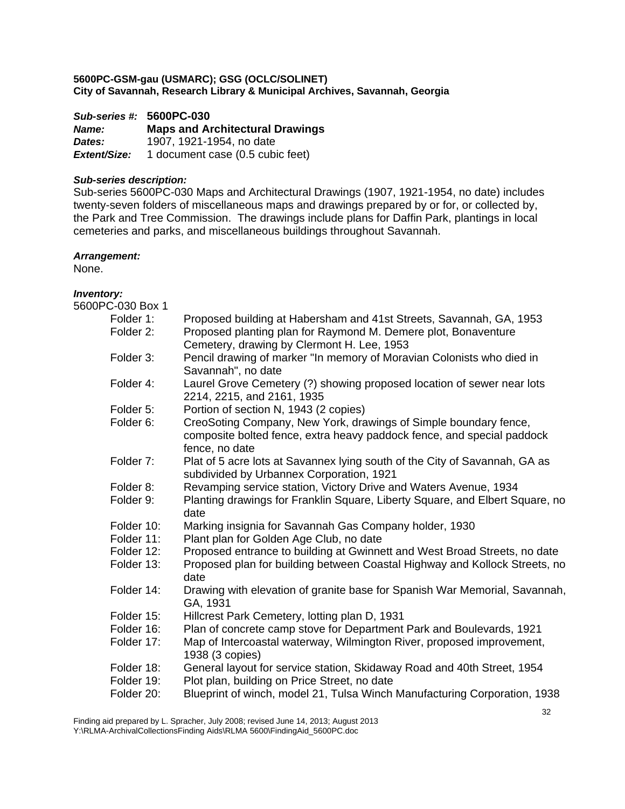*Sub-series #:* **5600PC-030** *Name:* **Maps and Architectural Drawings**  *Dates:* 1907, 1921-1954, no date *Extent/Size:* 1 document case (0.5 cubic feet)

## *Sub-series description:*

Sub-series 5600PC-030 Maps and Architectural Drawings (1907, 1921-1954, no date) includes twenty-seven folders of miscellaneous maps and drawings prepared by or for, or collected by, the Park and Tree Commission. The drawings include plans for Daffin Park, plantings in local cemeteries and parks, and miscellaneous buildings throughout Savannah.

## *Arrangement:*

None.

#### *Inventory:*  5600P

| <sup>2</sup> C-030 Box 1 |                                                                                                      |
|--------------------------|------------------------------------------------------------------------------------------------------|
| Folder 1:                | Proposed building at Habersham and 41st Streets, Savannah, GA, 1953                                  |
| Folder 2:                | Proposed planting plan for Raymond M. Demere plot, Bonaventure                                       |
|                          | Cemetery, drawing by Clermont H. Lee, 1953                                                           |
| Folder 3:                | Pencil drawing of marker "In memory of Moravian Colonists who died in                                |
|                          | Savannah", no date                                                                                   |
| Folder 4:                | Laurel Grove Cemetery (?) showing proposed location of sewer near lots<br>2214, 2215, and 2161, 1935 |
| Folder 5:                | Portion of section N, 1943 (2 copies)                                                                |
| Folder 6:                | CreoSoting Company, New York, drawings of Simple boundary fence,                                     |
|                          | composite bolted fence, extra heavy paddock fence, and special paddock<br>fence, no date             |
| Folder 7:                | Plat of 5 acre lots at Savannex lying south of the City of Savannah, GA as                           |
|                          | subdivided by Urbannex Corporation, 1921                                                             |
| Folder 8:                | Revamping service station, Victory Drive and Waters Avenue, 1934                                     |
| Folder 9:                | Planting drawings for Franklin Square, Liberty Square, and Elbert Square, no                         |
|                          | date                                                                                                 |
| Folder 10:               | Marking insignia for Savannah Gas Company holder, 1930                                               |
| Folder 11:               | Plant plan for Golden Age Club, no date                                                              |
| Folder 12:               | Proposed entrance to building at Gwinnett and West Broad Streets, no date                            |
| Folder 13:               | Proposed plan for building between Coastal Highway and Kollock Streets, no                           |
|                          | date                                                                                                 |
| Folder 14:               | Drawing with elevation of granite base for Spanish War Memorial, Savannah,                           |
|                          | GA, 1931                                                                                             |
| Folder 15:               | Hillcrest Park Cemetery, lotting plan D, 1931                                                        |
| Folder 16:               | Plan of concrete camp stove for Department Park and Boulevards, 1921                                 |
| Folder 17:               | Map of Intercoastal waterway, Wilmington River, proposed improvement,<br>1938 (3 copies)             |
| Folder 18:               | General layout for service station, Skidaway Road and 40th Street, 1954                              |
| Folder 19:               | Plot plan, building on Price Street, no date                                                         |
| Folder 20:               | Blueprint of winch, model 21, Tulsa Winch Manufacturing Corporation, 1938                            |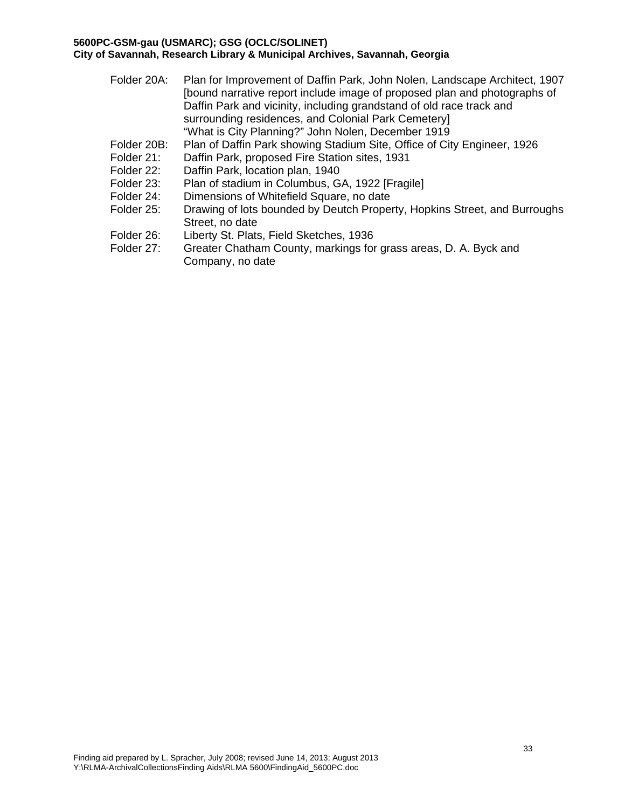| Folder 20A:              | Plan for Improvement of Daffin Park, John Nolen, Landscape Architect, 1907<br>[bound narrative report include image of proposed plan and photographs of<br>Daffin Park and vicinity, including grandstand of old race track and<br>surrounding residences, and Colonial Park Cemetery]<br>"What is City Planning?" John Nolen, December 1919 |
|--------------------------|----------------------------------------------------------------------------------------------------------------------------------------------------------------------------------------------------------------------------------------------------------------------------------------------------------------------------------------------|
| Folder 20B:              | Plan of Daffin Park showing Stadium Site, Office of City Engineer, 1926                                                                                                                                                                                                                                                                      |
| Folder 21:               | Daffin Park, proposed Fire Station sites, 1931                                                                                                                                                                                                                                                                                               |
| Folder 22:               | Daffin Park, location plan, 1940                                                                                                                                                                                                                                                                                                             |
| Folder 23:               | Plan of stadium in Columbus, GA, 1922 [Fragile]                                                                                                                                                                                                                                                                                              |
| Folder 24:               | Dimensions of Whitefield Square, no date                                                                                                                                                                                                                                                                                                     |
| Folder 25:               | Drawing of lots bounded by Deutch Property, Hopkins Street, and Burroughs<br>Street, no date                                                                                                                                                                                                                                                 |
| Folder 26:<br>Folder 27: | Liberty St. Plats, Field Sketches, 1936<br>Greater Chatham County, markings for grass areas, D. A. Byck and<br>Company, no date                                                                                                                                                                                                              |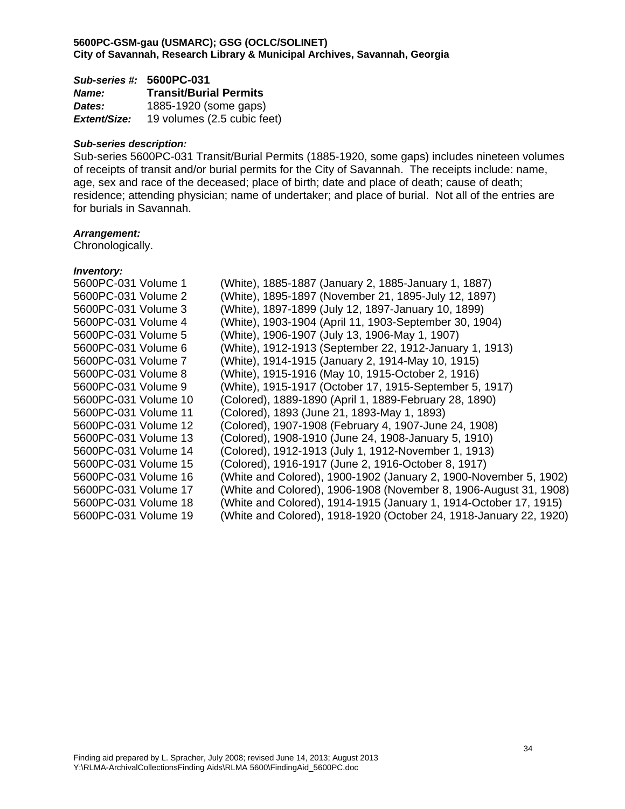| Sub-series #: 5600PC-031 |                               |
|--------------------------|-------------------------------|
| <b>Name:</b>             | <b>Transit/Burial Permits</b> |
| <b>Dates:</b>            | 1885-1920 (some gaps)         |
| Extent/Size:             | 19 volumes (2.5 cubic feet)   |

#### *Sub-series description:*

Sub-series 5600PC-031 Transit/Burial Permits (1885-1920, some gaps) includes nineteen volumes of receipts of transit and/or burial permits for the City of Savannah. The receipts include: name, age, sex and race of the deceased; place of birth; date and place of death; cause of death; residence; attending physician; name of undertaker; and place of burial. Not all of the entries are for burials in Savannah.

#### *Arrangement:*

Chronologically.

| 5600PC-031 Volume 1  | (White), 1885-1887 (January 2, 1885-January 1, 1887)               |
|----------------------|--------------------------------------------------------------------|
| 5600PC-031 Volume 2  | (White), 1895-1897 (November 21, 1895-July 12, 1897)               |
| 5600PC-031 Volume 3  | (White), 1897-1899 (July 12, 1897-January 10, 1899)                |
| 5600PC-031 Volume 4  | (White), 1903-1904 (April 11, 1903-September 30, 1904)             |
| 5600PC-031 Volume 5  | (White), 1906-1907 (July 13, 1906-May 1, 1907)                     |
| 5600PC-031 Volume 6  | (White), 1912-1913 (September 22, 1912-January 1, 1913)            |
| 5600PC-031 Volume 7  | (White), 1914-1915 (January 2, 1914-May 10, 1915)                  |
| 5600PC-031 Volume 8  | (White), 1915-1916 (May 10, 1915-October 2, 1916)                  |
| 5600PC-031 Volume 9  | (White), 1915-1917 (October 17, 1915-September 5, 1917)            |
| 5600PC-031 Volume 10 | (Colored), 1889-1890 (April 1, 1889-February 28, 1890)             |
| 5600PC-031 Volume 11 | (Colored), 1893 (June 21, 1893-May 1, 1893)                        |
| 5600PC-031 Volume 12 | (Colored), 1907-1908 (February 4, 1907-June 24, 1908)              |
| 5600PC-031 Volume 13 | (Colored), 1908-1910 (June 24, 1908-January 5, 1910)               |
| 5600PC-031 Volume 14 | (Colored), 1912-1913 (July 1, 1912-November 1, 1913)               |
| 5600PC-031 Volume 15 | (Colored), 1916-1917 (June 2, 1916-October 8, 1917)                |
| 5600PC-031 Volume 16 | (White and Colored), 1900-1902 (January 2, 1900-November 5, 1902)  |
| 5600PC-031 Volume 17 | (White and Colored), 1906-1908 (November 8, 1906-August 31, 1908)  |
| 5600PC-031 Volume 18 | (White and Colored), 1914-1915 (January 1, 1914-October 17, 1915)  |
| 5600PC-031 Volume 19 | (White and Colored), 1918-1920 (October 24, 1918-January 22, 1920) |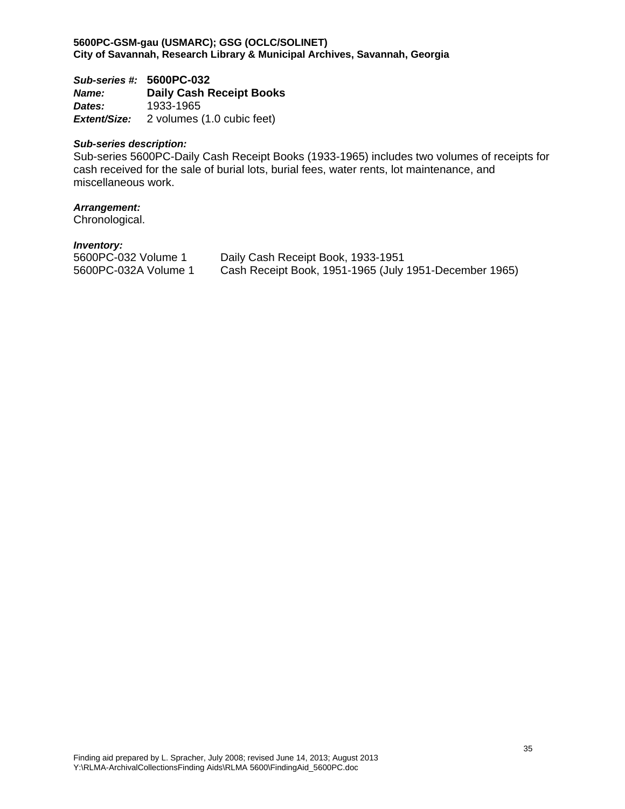*Sub-series #:* **5600PC-032** *Name:* **Daily Cash Receipt Books**  *Dates:* 1933-1965 *Extent/Size:* 2 volumes (1.0 cubic feet)

#### *Sub-series description:*

Sub-series 5600PC-Daily Cash Receipt Books (1933-1965) includes two volumes of receipts for cash received for the sale of burial lots, burial fees, water rents, lot maintenance, and miscellaneous work.

## *Arrangement:*

Chronological.

| 5600PC-032 Volume 1  | Daily Cash Receipt Book, 1933-1951                     |
|----------------------|--------------------------------------------------------|
| 5600PC-032A Volume 1 | Cash Receipt Book, 1951-1965 (July 1951-December 1965) |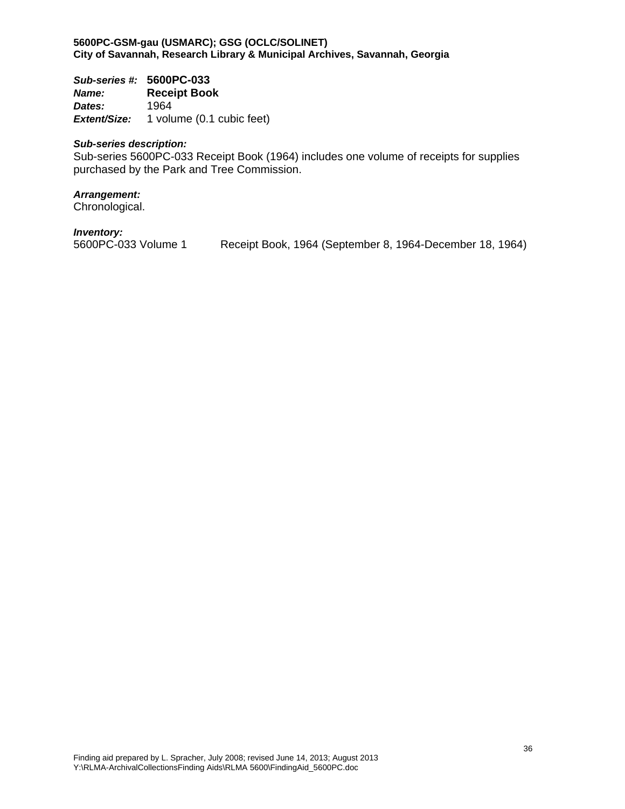*Sub-series #:* **5600PC-033** *Name:* **Receipt Book**  *Dates:* 1964 *Extent/Size:* 1 volume (0.1 cubic feet)

#### *Sub-series description:*

Sub-series 5600PC-033 Receipt Book (1964) includes one volume of receipts for supplies purchased by the Park and Tree Commission.

#### *Arrangement:*

Chronological.

*Inventory:*

Receipt Book, 1964 (September 8, 1964-December 18, 1964)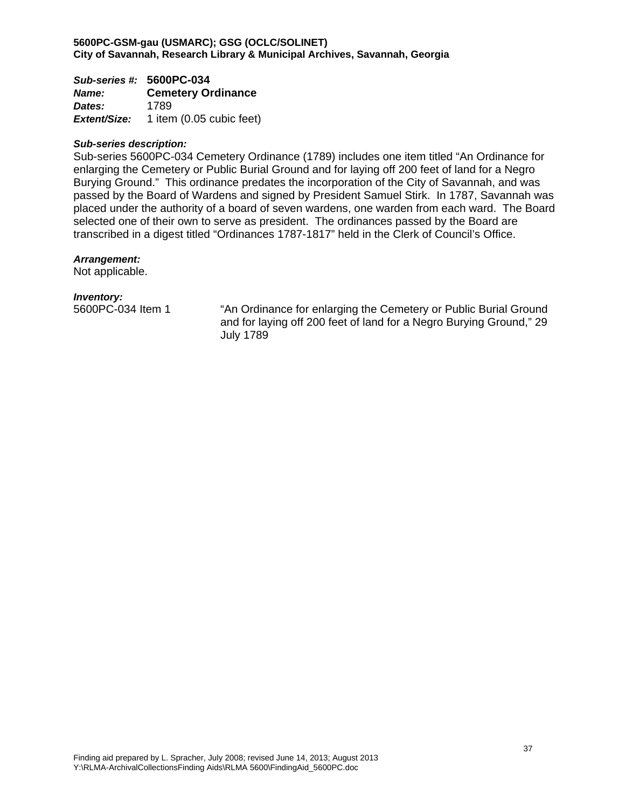*Sub-series #:* **5600PC-034** *Name:* **Cemetery Ordinance**  *Dates:* 1789 *Extent/Size:* 1 item (0.05 cubic feet)

#### *Sub-series description:*

Sub-series 5600PC-034 Cemetery Ordinance (1789) includes one item titled "An Ordinance for enlarging the Cemetery or Public Burial Ground and for laying off 200 feet of land for a Negro Burying Ground." This ordinance predates the incorporation of the City of Savannah, and was passed by the Board of Wardens and signed by President Samuel Stirk. In 1787, Savannah was placed under the authority of a board of seven wardens, one warden from each ward. The Board selected one of their own to serve as president. The ordinances passed by the Board are transcribed in a digest titled "Ordinances 1787-1817" held in the Clerk of Council's Office.

#### *Arrangement:*

Not applicable.

#### *Inventory:*

5600PC-034 Item 1 "An Ordinance for enlarging the Cemetery or Public Burial Ground and for laying off 200 feet of land for a Negro Burying Ground," 29 July 1789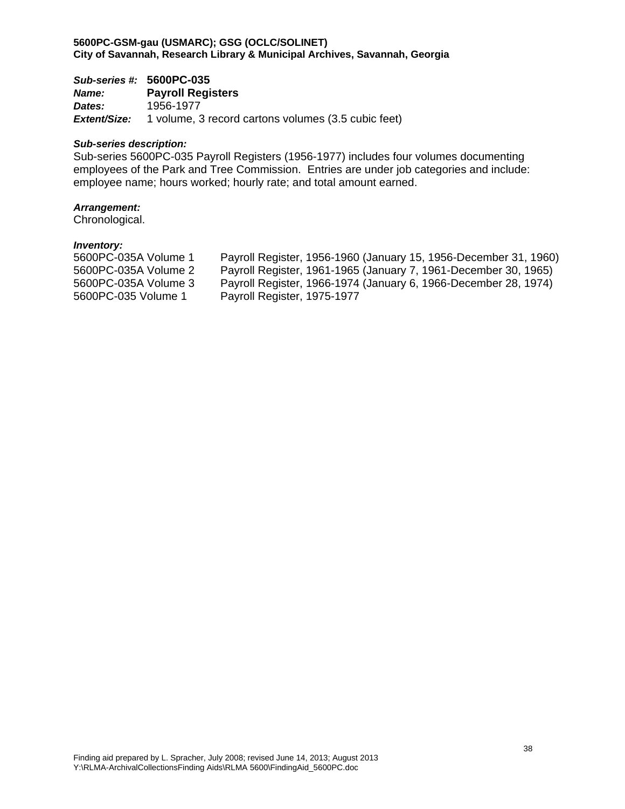*Sub-series #:* **5600PC-035** *Name:* **Payroll Registers**  *Dates:* 1956-1977 *Extent/Size:* 1 volume, 3 record cartons volumes (3.5 cubic feet)

#### *Sub-series description:*

Sub-series 5600PC-035 Payroll Registers (1956-1977) includes four volumes documenting employees of the Park and Tree Commission. Entries are under job categories and include: employee name; hours worked; hourly rate; and total amount earned.

## *Arrangement:*

Chronological.

| Payroll Register, 1956-1960 (January 15, 1956-December 31, 1960) |
|------------------------------------------------------------------|
| Payroll Register, 1961-1965 (January 7, 1961-December 30, 1965)  |
| Payroll Register, 1966-1974 (January 6, 1966-December 28, 1974)  |
| Payroll Register, 1975-1977                                      |
|                                                                  |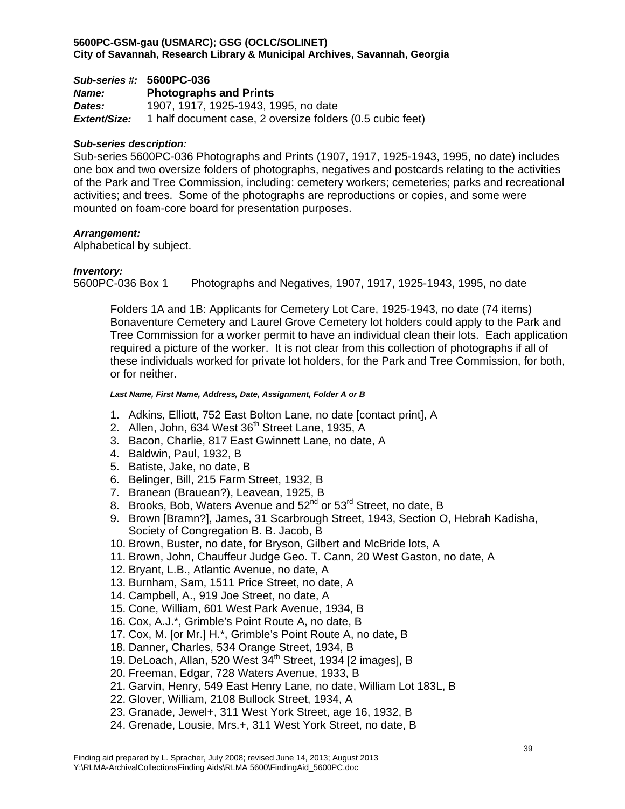# *Sub-series #:* **5600PC-036** *Name:* **Photographs and Prints**

*Dates:* 1907, 1917, 1925-1943, 1995, no date *Extent/Size:* 1 half document case, 2 oversize folders (0.5 cubic feet)

# *Sub-series description:*

Sub-series 5600PC-036 Photographs and Prints (1907, 1917, 1925-1943, 1995, no date) includes one box and two oversize folders of photographs, negatives and postcards relating to the activities of the Park and Tree Commission, including: cemetery workers; cemeteries; parks and recreational activities; and trees. Some of the photographs are reproductions or copies, and some were mounted on foam-core board for presentation purposes.

# *Arrangement:*

Alphabetical by subject.

# *Inventory:*

5600PC-036 Box 1 Photographs and Negatives, 1907, 1917, 1925-1943, 1995, no date

Folders 1A and 1B: Applicants for Cemetery Lot Care, 1925-1943, no date (74 items) Bonaventure Cemetery and Laurel Grove Cemetery lot holders could apply to the Park and Tree Commission for a worker permit to have an individual clean their lots. Each application required a picture of the worker. It is not clear from this collection of photographs if all of these individuals worked for private lot holders, for the Park and Tree Commission, for both, or for neither.

# *Last Name, First Name, Address, Date, Assignment, Folder A or B*

- 1. Adkins, Elliott, 752 East Bolton Lane, no date [contact print], A
- 2. Allen, John, 634 West  $36<sup>th</sup>$  Street Lane, 1935, A
- 3. Bacon, Charlie, 817 East Gwinnett Lane, no date, A
- 4. Baldwin, Paul, 1932, B
- 5. Batiste, Jake, no date, B
- 6. Belinger, Bill, 215 Farm Street, 1932, B
- 7. Branean (Brauean?), Leavean, 1925, B
- 8. Brooks, Bob, Waters Avenue and 52<sup>nd</sup> or 53<sup>rd</sup> Street, no date, B
- 9. Brown [Bramn?], James, 31 Scarbrough Street, 1943, Section O, Hebrah Kadisha, Society of Congregation B. B. Jacob, B
- 10. Brown, Buster, no date, for Bryson, Gilbert and McBride lots, A
- 11. Brown, John, Chauffeur Judge Geo. T. Cann, 20 West Gaston, no date, A
- 12. Bryant, L.B., Atlantic Avenue, no date, A
- 13. Burnham, Sam, 1511 Price Street, no date, A
- 14. Campbell, A., 919 Joe Street, no date, A
- 15. Cone, William, 601 West Park Avenue, 1934, B
- 16. Cox, A.J.\*, Grimble's Point Route A, no date, B
- 17. Cox, M. [or Mr.] H.\*, Grimble's Point Route A, no date, B
- 18. Danner, Charles, 534 Orange Street, 1934, B
- 19. DeLoach, Allan, 520 West 34<sup>th</sup> Street, 1934 [2 images], B
- 20. Freeman, Edgar, 728 Waters Avenue, 1933, B
- 21. Garvin, Henry, 549 East Henry Lane, no date, William Lot 183L, B
- 22. Glover, William, 2108 Bullock Street, 1934, A
- 23. Granade, Jewel+, 311 West York Street, age 16, 1932, B
- 24. Grenade, Lousie, Mrs.+, 311 West York Street, no date, B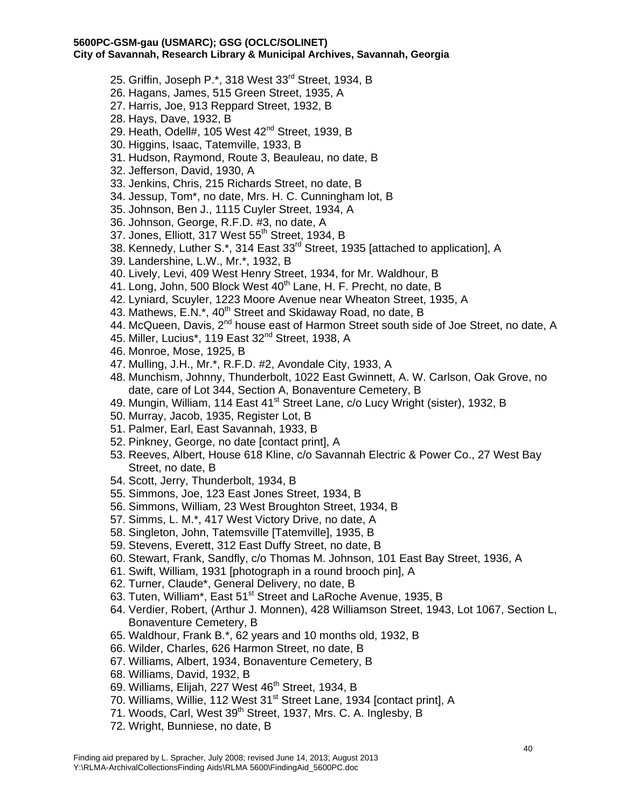- 25. Griffin, Joseph P.\*, 318 West 33<sup>rd</sup> Street, 1934, B
- 26. Hagans, James, 515 Green Street, 1935, A
- 27. Harris, Joe, 913 Reppard Street, 1932, B
- 28. Hays, Dave, 1932, B
- 29. Heath, Odell#, 105 West 42<sup>nd</sup> Street, 1939, B
- 30. Higgins, Isaac, Tatemville, 1933, B
- 31. Hudson, Raymond, Route 3, Beauleau, no date, B
- 32. Jefferson, David, 1930, A
- 33. Jenkins, Chris, 215 Richards Street, no date, B
- 34. Jessup, Tom\*, no date, Mrs. H. C. Cunningham lot, B
- 35. Johnson, Ben J., 1115 Cuyler Street, 1934, A
- 36. Johnson, George, R.F.D. #3, no date, A
- 37. Jones, Elliott, 317 West 55<sup>th</sup> Street, 1934, B
- 38. Kennedy, Luther S.\*, 314 East 33<sup>rd</sup> Street, 1935 [attached to application], A
- 39. Landershine, L.W., Mr.\*, 1932, B
- 40. Lively, Levi, 409 West Henry Street, 1934, for Mr. Waldhour, B
- 41. Long, John, 500 Block West  $40<sup>th</sup>$  Lane, H. F. Precht, no date, B
- 42. Lyniard, Scuyler, 1223 Moore Avenue near Wheaton Street, 1935, A
- 43. Mathews, E.N. $^*$ , 40<sup>th</sup> Street and Skidaway Road, no date, B
- 44. McQueen, Davis, 2<sup>nd</sup> house east of Harmon Street south side of Joe Street, no date, A
- 45. Miller, Lucius\*, 119 East 32<sup>nd</sup> Street, 1938, A
- 46. Monroe, Mose, 1925, B
- 47. Mulling, J.H., Mr.\*, R.F.D. #2, Avondale City, 1933, A
- 48. Munchism, Johnny, Thunderbolt, 1022 East Gwinnett, A. W. Carlson, Oak Grove, no date, care of Lot 344, Section A, Bonaventure Cemetery, B
- 49. Mungin, William, 114 East 41<sup>st</sup> Street Lane, c/o Lucy Wright (sister), 1932, B
- 50. Murray, Jacob, 1935, Register Lot, B
- 51. Palmer, Earl, East Savannah, 1933, B
- 52. Pinkney, George, no date [contact print], A
- 53. Reeves, Albert, House 618 Kline, c/o Savannah Electric & Power Co., 27 West Bay Street, no date, B
- 54. Scott, Jerry, Thunderbolt, 1934, B
- 55. Simmons, Joe, 123 East Jones Street, 1934, B
- 56. Simmons, William, 23 West Broughton Street, 1934, B
- 57. Simms, L. M.\*, 417 West Victory Drive, no date, A
- 58. Singleton, John, Tatemsville [Tatemville], 1935, B
- 59. Stevens, Everett, 312 East Duffy Street, no date, B
- 60. Stewart, Frank, Sandfly, c/o Thomas M. Johnson, 101 East Bay Street, 1936, A
- 61. Swift, William, 1931 [photograph in a round brooch pin], A
- 62. Turner, Claude\*, General Delivery, no date, B
- 63. Tuten, William\*, East 51<sup>st</sup> Street and LaRoche Avenue, 1935, B
- 64. Verdier, Robert, (Arthur J. Monnen), 428 Williamson Street, 1943, Lot 1067, Section L, Bonaventure Cemetery, B
- 65. Waldhour, Frank B.\*, 62 years and 10 months old, 1932, B
- 66. Wilder, Charles, 626 Harmon Street, no date, B
- 67. Williams, Albert, 1934, Bonaventure Cemetery, B
- 68. Williams, David, 1932, B
- 69. Williams, Elijah, 227 West 46<sup>th</sup> Street, 1934, B
- 70. Williams, Willie, 112 West 31<sup>st</sup> Street Lane, 1934 [contact print], A
- 71. Woods, Carl, West 39<sup>th</sup> Street, 1937, Mrs. C. A. Inglesby, B
- 72. Wright, Bunniese, no date, B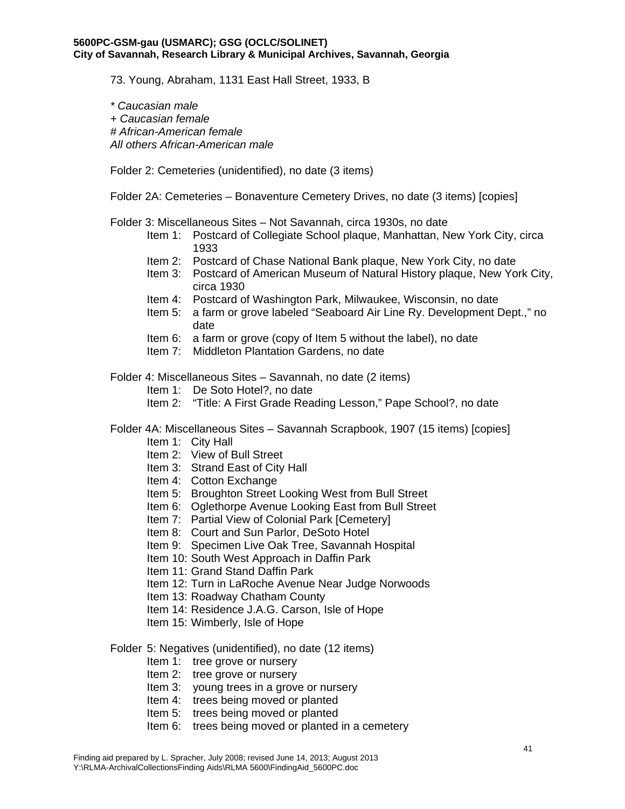73. Young, Abraham, 1131 East Hall Street, 1933, B

*\* Caucasian male + Caucasian female # African-American female All others African-American male* 

Folder 2: Cemeteries (unidentified), no date (3 items)

Folder 2A: Cemeteries – Bonaventure Cemetery Drives, no date (3 items) [copies]

Folder 3: Miscellaneous Sites – Not Savannah, circa 1930s, no date

- Item 1: Postcard of Collegiate School plaque, Manhattan, New York City, circa 1933
- Item 2: Postcard of Chase National Bank plaque, New York City, no date
- Item 3: Postcard of American Museum of Natural History plaque, New York City, circa 1930
- Item 4: Postcard of Washington Park, Milwaukee, Wisconsin, no date
- Item 5: a farm or grove labeled "Seaboard Air Line Ry. Development Dept.," no date
- Item 6: a farm or grove (copy of Item 5 without the label), no date
- Item 7: Middleton Plantation Gardens, no date

Folder 4: Miscellaneous Sites – Savannah, no date (2 items)

- Item 1: De Soto Hotel?, no date
- Item 2: "Title: A First Grade Reading Lesson," Pape School?, no date
- Folder 4A: Miscellaneous Sites Savannah Scrapbook, 1907 (15 items) [copies]
	- Item 1: City Hall
	- Item 2: View of Bull Street
	- Item 3: Strand East of City Hall
	- Item 4: Cotton Exchange
	- Item 5: Broughton Street Looking West from Bull Street
	- Item 6: Oglethorpe Avenue Looking East from Bull Street
	- Item 7: Partial View of Colonial Park [Cemetery]
	- Item 8: Court and Sun Parlor, DeSoto Hotel
	- Item 9: Specimen Live Oak Tree, Savannah Hospital
	- Item 10: South West Approach in Daffin Park
	- Item 11: Grand Stand Daffin Park
	- Item 12: Turn in LaRoche Avenue Near Judge Norwoods
	- Item 13: Roadway Chatham County
	- Item 14: Residence J.A.G. Carson, Isle of Hope
	- Item 15: Wimberly, Isle of Hope

#### Folder 5: Negatives (unidentified), no date (12 items)

- Item 1: tree grove or nursery
- Item 2: tree grove or nursery
- Item 3: young trees in a grove or nursery
- Item 4: trees being moved or planted
- Item 5: trees being moved or planted
- Item 6: trees being moved or planted in a cemetery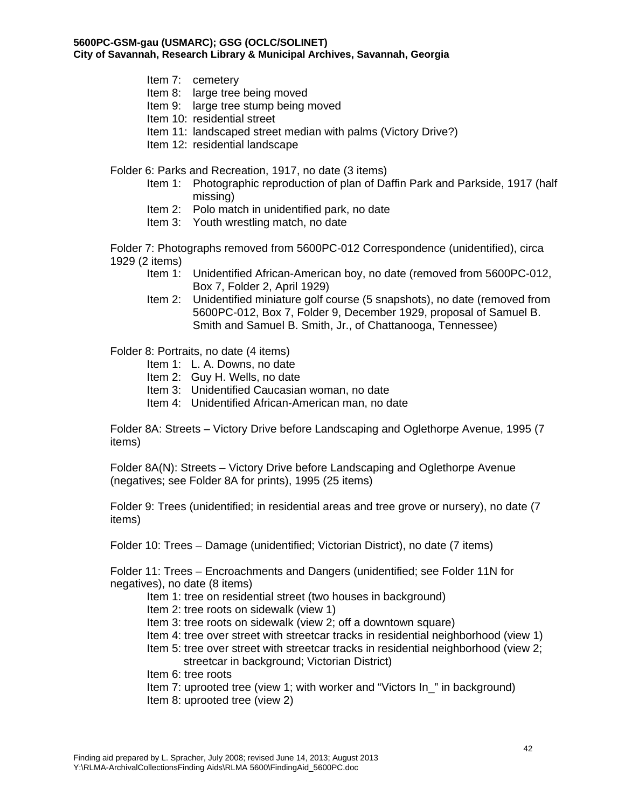- Item 7: cemetery
- Item 8: large tree being moved
- Item 9: large tree stump being moved
- Item 10: residential street
- Item 11: landscaped street median with palms (Victory Drive?)
- Item 12: residential landscape

Folder 6: Parks and Recreation, 1917, no date (3 items)

- Item 1: Photographic reproduction of plan of Daffin Park and Parkside, 1917 (half missing)
- Item 2: Polo match in unidentified park, no date
- Item 3: Youth wrestling match, no date

Folder 7: Photographs removed from 5600PC-012 Correspondence (unidentified), circa 1929 (2 items)

- Item 1: Unidentified African-American boy, no date (removed from 5600PC-012, Box 7, Folder 2, April 1929)
- Item 2: Unidentified miniature golf course (5 snapshots), no date (removed from 5600PC-012, Box 7, Folder 9, December 1929, proposal of Samuel B. Smith and Samuel B. Smith, Jr., of Chattanooga, Tennessee)

Folder 8: Portraits, no date (4 items)

- Item 1: L. A. Downs, no date
- Item 2: Guy H. Wells, no date
- Item 3: Unidentified Caucasian woman, no date
- Item 4: Unidentified African-American man, no date

Folder 8A: Streets – Victory Drive before Landscaping and Oglethorpe Avenue, 1995 (7 items)

Folder 8A(N): Streets – Victory Drive before Landscaping and Oglethorpe Avenue (negatives; see Folder 8A for prints), 1995 (25 items)

Folder 9: Trees (unidentified; in residential areas and tree grove or nursery), no date (7 items)

Folder 10: Trees – Damage (unidentified; Victorian District), no date (7 items)

Folder 11: Trees – Encroachments and Dangers (unidentified; see Folder 11N for negatives), no date (8 items)

- Item 1: tree on residential street (two houses in background)
- Item 2: tree roots on sidewalk (view 1)
- Item 3: tree roots on sidewalk (view 2; off a downtown square)
- Item 4: tree over street with streetcar tracks in residential neighborhood (view 1)
- Item 5: tree over street with streetcar tracks in residential neighborhood (view 2; streetcar in background; Victorian District)
- Item 6: tree roots
- Item 7: uprooted tree (view 1; with worker and "Victors In\_" in background)
- Item 8: uprooted tree (view 2)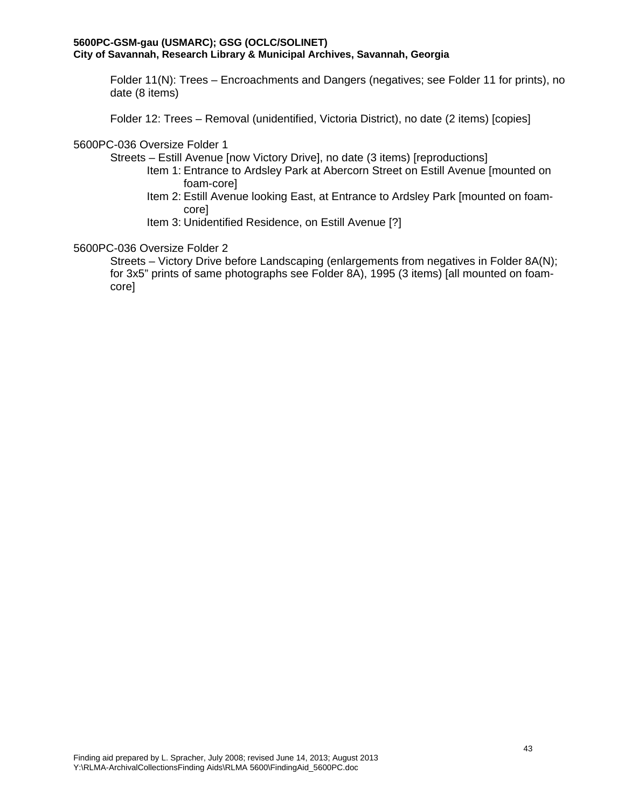Folder 11(N): Trees – Encroachments and Dangers (negatives; see Folder 11 for prints), no date (8 items)

Folder 12: Trees – Removal (unidentified, Victoria District), no date (2 items) [copies]

## 5600PC-036 Oversize Folder 1

Streets – Estill Avenue [now Victory Drive], no date (3 items) [reproductions]

- Item 1: Entrance to Ardsley Park at Abercorn Street on Estill Avenue [mounted on foam-core]
- Item 2: Estill Avenue looking East, at Entrance to Ardsley Park [mounted on foamcore]
- Item 3: Unidentified Residence, on Estill Avenue [?]

# 5600PC-036 Oversize Folder 2

Streets – Victory Drive before Landscaping (enlargements from negatives in Folder 8A(N); for 3x5" prints of same photographs see Folder 8A), 1995 (3 items) [all mounted on foamcore]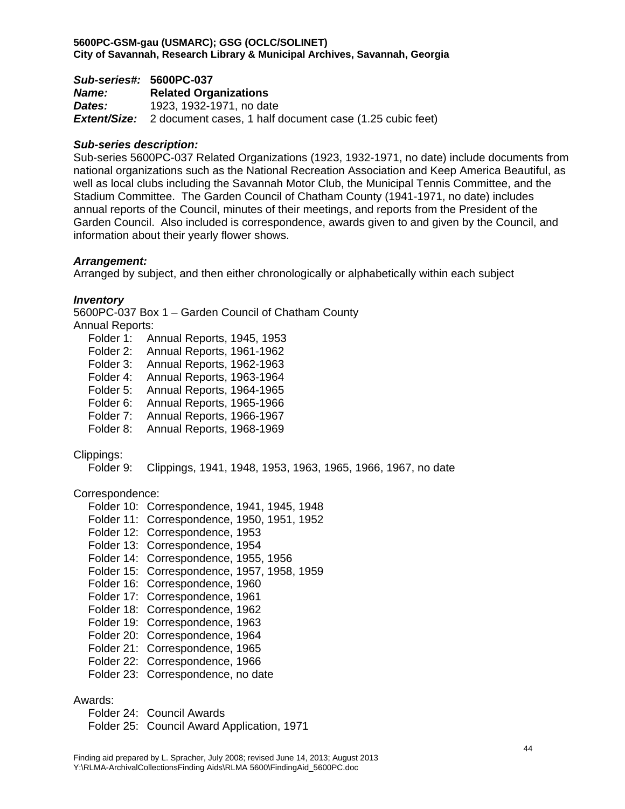*Sub-series#:* **5600PC-037**  *Name:* **Related Organizations**  *Dates:* 1923, 1932-1971, no date *Extent/Size:* 2 document cases, 1 half document case (1.25 cubic feet)

# *Sub-series description:*

Sub-series 5600PC-037 Related Organizations (1923, 1932-1971, no date) include documents from national organizations such as the National Recreation Association and Keep America Beautiful, as well as local clubs including the Savannah Motor Club, the Municipal Tennis Committee, and the Stadium Committee. The Garden Council of Chatham County (1941-1971, no date) includes annual reports of the Council, minutes of their meetings, and reports from the President of the Garden Council. Also included is correspondence, awards given to and given by the Council, and information about their yearly flower shows.

## *Arrangement:*

Arranged by subject, and then either chronologically or alphabetically within each subject

## *Inventory*

5600PC-037 Box 1 – Garden Council of Chatham County

Annual Reports:

- Folder 1: Annual Reports, 1945, 1953
- Folder 2: Annual Reports, 1961-1962
- Folder 3: Annual Reports, 1962-1963
- Folder 4: Annual Reports, 1963-1964
- Folder 5: Annual Reports, 1964-1965
- Folder 6: Annual Reports, 1965-1966
- Folder 7: Annual Reports, 1966-1967
- Folder 8: Annual Reports, 1968-1969

## Clippings:

Folder 9: Clippings, 1941, 1948, 1953, 1963, 1965, 1966, 1967, no date

## Correspondence:

- Folder 10: Correspondence, 1941, 1945, 1948
- Folder 11: Correspondence, 1950, 1951, 1952
- Folder 12: Correspondence, 1953
- Folder 13: Correspondence, 1954
- Folder 14: Correspondence, 1955, 1956
- Folder 15: Correspondence, 1957, 1958, 1959
- Folder 16: Correspondence, 1960
- Folder 17: Correspondence, 1961
- Folder 18: Correspondence, 1962
- Folder 19: Correspondence, 1963
- Folder 20: Correspondence, 1964
- Folder 21: Correspondence, 1965
- Folder 22: Correspondence, 1966
- Folder 23: Correspondence, no date

## Awards:

- Folder 24: Council Awards
- Folder 25: Council Award Application, 1971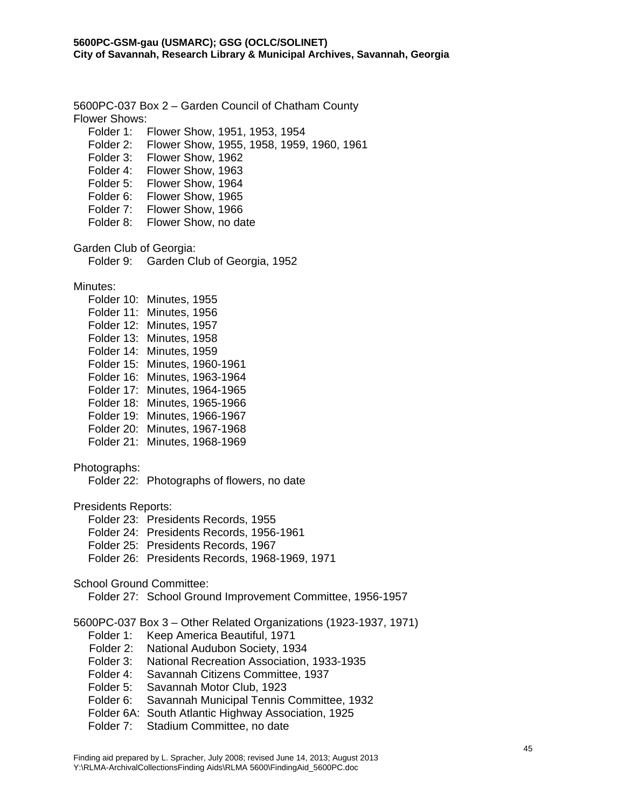5600PC-037 Box 2 – Garden Council of Chatham County Flower Shows: Folder 1: Flower Show, 1951, 1953, 1954 Folder 2: Flower Show, 1955, 1958, 1959, 1960, 1961 Folder 3: Flower Show, 1962 Folder 4: Flower Show, 1963 Folder 5: Flower Show, 1964 Folder 6: Flower Show, 1965 Folder 7: Flower Show, 1966 Folder 8: Flower Show, no date Garden Club of Georgia: Folder 9: Garden Club of Georgia, 1952 Minutes: Folder 10: Minutes, 1955 Folder 11: Minutes, 1956 Folder 12: Minutes, 1957 Folder 13: Minutes, 1958 Folder 14: Minutes, 1959 Folder 15: Minutes, 1960-1961 Folder 16: Minutes, 1963-1964 Folder 17: Minutes, 1964-1965 Folder 18: Minutes, 1965-1966 Folder 19: Minutes, 1966-1967 Folder 20: Minutes, 1967-1968 Folder 21: Minutes, 1968-1969 Photographs: Folder 22: Photographs of flowers, no date Presidents Reports: Folder 23: Presidents Records, 1955 Folder 24: Presidents Records, 1956-1961 Folder 25: Presidents Records, 1967 Folder 26: Presidents Records, 1968-1969, 1971 School Ground Committee: Folder 27: School Ground Improvement Committee, 1956-1957 5600PC-037 Box 3 – Other Related Organizations (1923-1937, 1971) Folder 1: Keep America Beautiful, 1971 Folder 2: National Audubon Society, 1934 Folder 3: National Recreation Association, 1933-1935 Folder 4: Savannah Citizens Committee, 1937 Folder 5: Savannah Motor Club, 1923 Folder 6: Savannah Municipal Tennis Committee, 1932 Folder 6A: South Atlantic Highway Association, 1925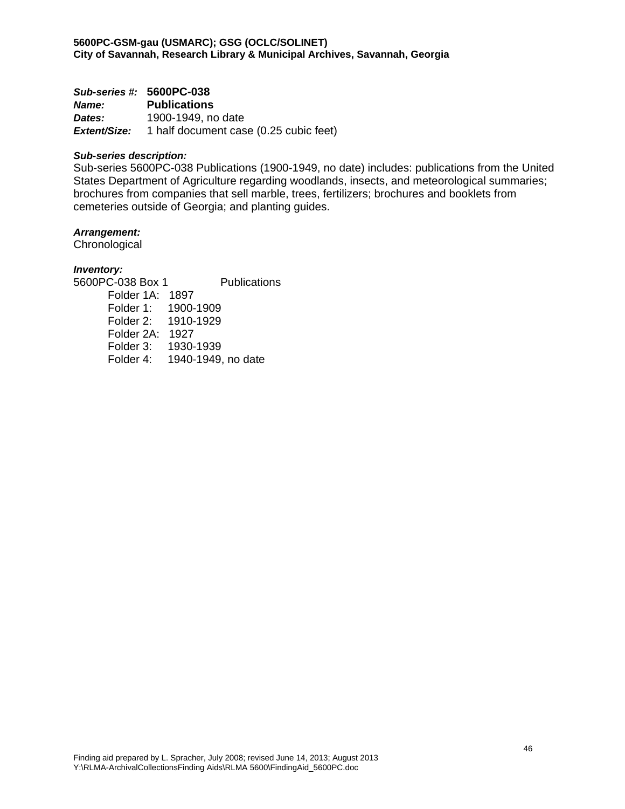*Sub-series #:* **5600PC-038**

*Name:* **Publications**  *Dates:* 1900-1949, no date *Extent/Size:* 1 half document case (0.25 cubic feet)

#### *Sub-series description:*

Sub-series 5600PC-038 Publications (1900-1949, no date) includes: publications from the United States Department of Agriculture regarding woodlands, insects, and meteorological summaries; brochures from companies that sell marble, trees, fertilizers; brochures and booklets from cemeteries outside of Georgia; and planting guides.

#### *Arrangement:*

**Chronological** 

## *Inventory:*

5600PC-038 Box 1 Publications Folder 1A: 1897 Folder 1: 1900-1909 Folder 2: 1910-1929 Folder 2A: 1927 Folder 3: 1930-1939 Folder 4: 1940-1949, no date